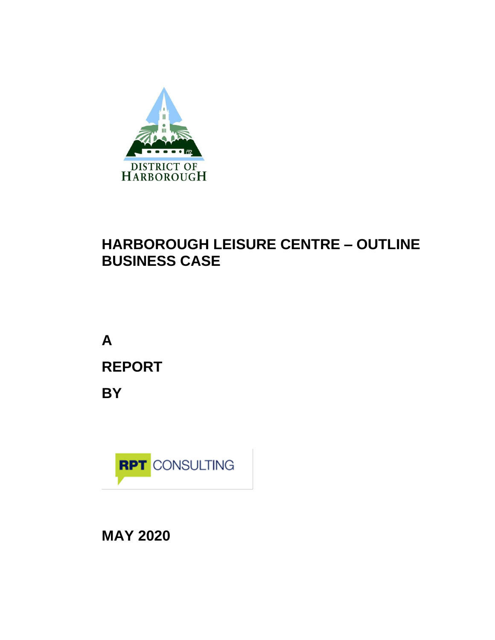

# **HARBOROUGH LEISURE CENTRE – OUTLINE BUSINESS CASE**

**A REPORT BY**



**MAY 2020**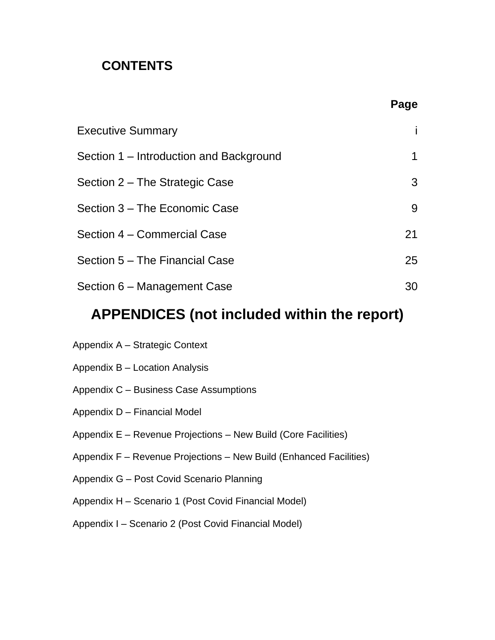## **CONTENTS**

|                                         | Page |
|-----------------------------------------|------|
| <b>Executive Summary</b>                |      |
| Section 1 – Introduction and Background | 1    |
| Section 2 – The Strategic Case          | 3    |
| Section 3 – The Economic Case           | 9    |
| Section 4 – Commercial Case             | 21   |
| Section 5 – The Financial Case          | 25   |
| Section 6 – Management Case             | 30   |

# **APPENDICES (not included within the report)**

| Appendix A - Strategic Context                                     |
|--------------------------------------------------------------------|
| Appendix B – Location Analysis                                     |
| Appendix C - Business Case Assumptions                             |
| Appendix D - Financial Model                                       |
| Appendix E – Revenue Projections – New Build (Core Facilities)     |
| Appendix F - Revenue Projections - New Build (Enhanced Facilities) |
| Appendix G - Post Covid Scenario Planning                          |
| Appendix H - Scenario 1 (Post Covid Financial Model)               |
| Appendix I – Scenario 2 (Post Covid Financial Model)               |
|                                                                    |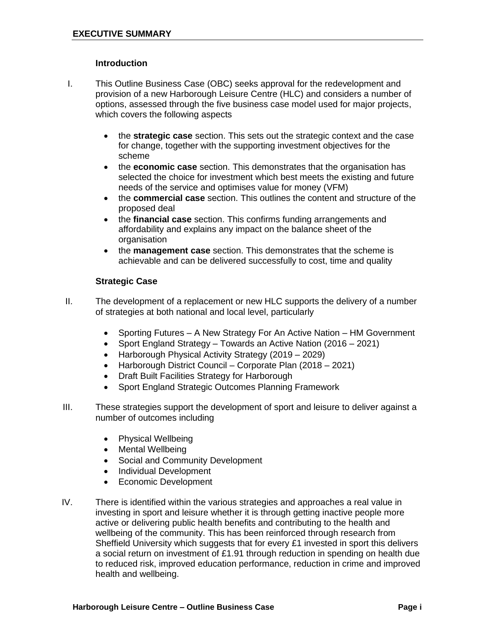#### **Introduction**

- I. This Outline Business Case (OBC) seeks approval for the redevelopment and provision of a new Harborough Leisure Centre (HLC) and considers a number of options, assessed through the five business case model used for major projects, which covers the following aspects
	- the **strategic case** section. This sets out the strategic context and the case for change, together with the supporting investment objectives for the scheme
	- the **economic case** section. This demonstrates that the organisation has selected the choice for investment which best meets the existing and future needs of the service and optimises value for money (VFM)
	- the **commercial case** section. This outlines the content and structure of the proposed deal
	- the **financial case** section. This confirms funding arrangements and affordability and explains any impact on the balance sheet of the organisation
	- the **management case** section. This demonstrates that the scheme is achievable and can be delivered successfully to cost, time and quality

#### **Strategic Case**

- II. The development of a replacement or new HLC supports the delivery of a number of strategies at both national and local level, particularly
	- Sporting Futures A New Strategy For An Active Nation HM Government
	- Sport England Strategy Towards an Active Nation (2016 2021)
	- Harborough Physical Activity Strategy (2019 2029)
	- Harborough District Council Corporate Plan (2018 2021)
	- Draft Built Facilities Strategy for Harborough
	- Sport England Strategic Outcomes Planning Framework
- III. These strategies support the development of sport and leisure to deliver against a number of outcomes including
	- Physical Wellbeing
	- Mental Wellbeing
	- Social and Community Development
	- Individual Development
	- Economic Development
- IV. There is identified within the various strategies and approaches a real value in investing in sport and leisure whether it is through getting inactive people more active or delivering public health benefits and contributing to the health and wellbeing of the community. This has been reinforced through research from Sheffield University which suggests that for every £1 invested in sport this delivers a social return on investment of £1.91 through reduction in spending on health due to reduced risk, improved education performance, reduction in crime and improved health and wellbeing.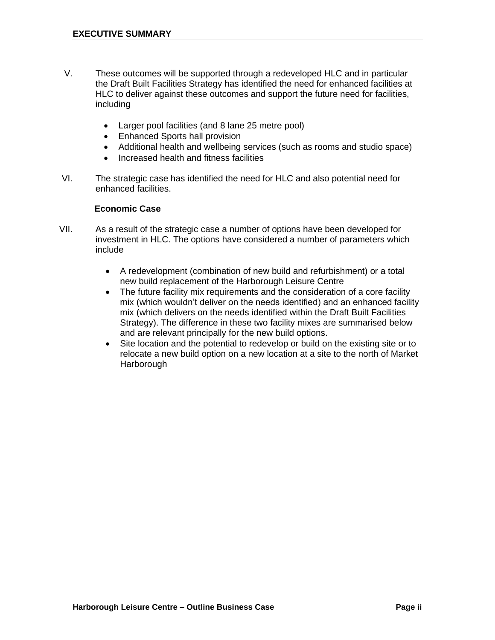- V. These outcomes will be supported through a redeveloped HLC and in particular the Draft Built Facilities Strategy has identified the need for enhanced facilities at HLC to deliver against these outcomes and support the future need for facilities, including
	- Larger pool facilities (and 8 lane 25 metre pool)
	- Enhanced Sports hall provision
	- Additional health and wellbeing services (such as rooms and studio space)
	- Increased health and fitness facilities
- VI. The strategic case has identified the need for HLC and also potential need for enhanced facilities.

#### **Economic Case**

- VII. As a result of the strategic case a number of options have been developed for investment in HLC. The options have considered a number of parameters which include
	- A redevelopment (combination of new build and refurbishment) or a total new build replacement of the Harborough Leisure Centre
	- The future facility mix requirements and the consideration of a core facility mix (which wouldn't deliver on the needs identified) and an enhanced facility mix (which delivers on the needs identified within the Draft Built Facilities Strategy). The difference in these two facility mixes are summarised below and are relevant principally for the new build options.
	- Site location and the potential to redevelop or build on the existing site or to relocate a new build option on a new location at a site to the north of Market **Harborough**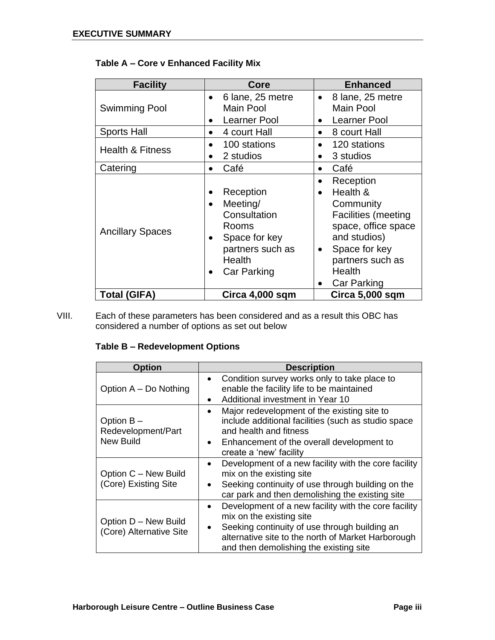| <b>Facility</b>             | Core                                                                                                                                                             | <b>Enhanced</b>                                                                                                                                                                                                           |
|-----------------------------|------------------------------------------------------------------------------------------------------------------------------------------------------------------|---------------------------------------------------------------------------------------------------------------------------------------------------------------------------------------------------------------------------|
| <b>Swimming Pool</b>        | 6 lane, 25 metre<br>$\bullet$<br>Main Pool<br>Learner Pool<br>$\bullet$                                                                                          | 8 lane, 25 metre<br>$\bullet$<br><b>Main Pool</b><br>Learner Pool<br>٠                                                                                                                                                    |
| <b>Sports Hall</b>          | 4 court Hall<br>$\bullet$                                                                                                                                        | 8 court Hall<br>$\bullet$                                                                                                                                                                                                 |
| <b>Health &amp; Fitness</b> | 100 stations<br>2 studios<br>$\bullet$                                                                                                                           | 120 stations<br>$\bullet$<br>3 studios                                                                                                                                                                                    |
| Catering                    | Café<br>$\bullet$                                                                                                                                                | Café<br>$\bullet$                                                                                                                                                                                                         |
| <b>Ancillary Spaces</b>     | Reception<br>$\bullet$<br>Meeting/<br>$\bullet$<br>Consultation<br>Rooms<br>Space for key<br>$\bullet$<br>partners such as<br>Health<br>Car Parking<br>$\bullet$ | Reception<br>$\bullet$<br>Health &<br>$\bullet$<br>Community<br><b>Facilities (meeting</b><br>space, office space<br>and studios)<br>Space for key<br>$\bullet$<br>partners such as<br>Health<br>Car Parking<br>$\bullet$ |
| <b>Total (GIFA)</b>         | Circa 4,000 sqm                                                                                                                                                  | Circa 5,000 sqm                                                                                                                                                                                                           |

## **Table A – Core v Enhanced Facility Mix**

VIII. Each of these parameters has been considered and as a result this OBC has considered a number of options as set out below

## **Table B – Redevelopment Options**

| <b>Option</b>                                          | <b>Description</b>                                                                                                                                                                                                                             |
|--------------------------------------------------------|------------------------------------------------------------------------------------------------------------------------------------------------------------------------------------------------------------------------------------------------|
| Option A - Do Nothing                                  | Condition survey works only to take place to<br>$\bullet$<br>enable the facility life to be maintained<br>Additional investment in Year 10<br>$\bullet$                                                                                        |
| Option $B -$<br>Redevelopment/Part<br><b>New Build</b> | Major redevelopment of the existing site to<br>include additional facilities (such as studio space<br>and health and fitness<br>Enhancement of the overall development to<br>create a 'new' facility                                           |
| Option C - New Build<br>(Core) Existing Site           | Development of a new facility with the core facility<br>$\bullet$<br>mix on the existing site<br>Seeking continuity of use through building on the<br>car park and then demolishing the existing site                                          |
| Option D - New Build<br>(Core) Alternative Site        | Development of a new facility with the core facility<br>$\bullet$<br>mix on the existing site<br>Seeking continuity of use through building an<br>alternative site to the north of Market Harborough<br>and then demolishing the existing site |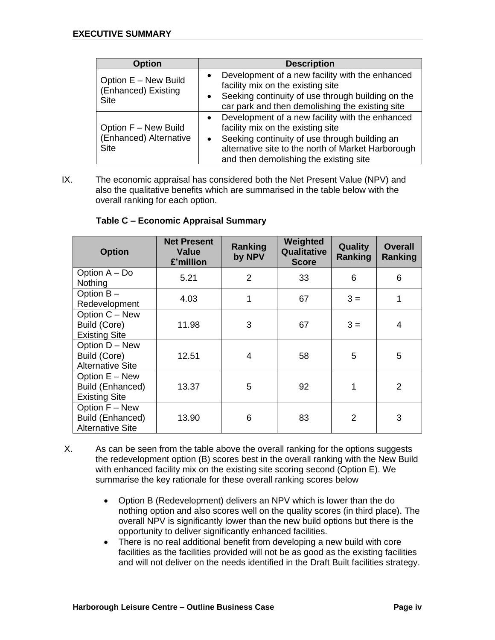| <b>Option</b>                                                 | <b>Description</b>                                                                                                                                                                                                                                              |
|---------------------------------------------------------------|-----------------------------------------------------------------------------------------------------------------------------------------------------------------------------------------------------------------------------------------------------------------|
| Option E - New Build<br>(Enhanced) Existing<br><b>Site</b>    | Development of a new facility with the enhanced<br>$\bullet$<br>facility mix on the existing site<br>Seeking continuity of use through building on the<br>٠<br>car park and then demolishing the existing site                                                  |
| Option F - New Build<br>(Enhanced) Alternative<br><b>Site</b> | Development of a new facility with the enhanced<br>$\bullet$<br>facility mix on the existing site<br>Seeking continuity of use through building an<br>$\bullet$<br>alternative site to the north of Market Harborough<br>and then demolishing the existing site |

IX. The economic appraisal has considered both the Net Present Value (NPV) and also the qualitative benefits which are summarised in the table below with the overall ranking for each option.

| <b>Option</b>                                                 | <b>Net Present</b><br>Value<br>£'million | Ranking<br>by NPV | Weighted<br>Qualitative<br><b>Score</b> | <b>Quality</b><br>Ranking | <b>Overall</b><br>Ranking |
|---------------------------------------------------------------|------------------------------------------|-------------------|-----------------------------------------|---------------------------|---------------------------|
| Option A - Do<br><b>Nothing</b>                               | 5.21                                     | 2                 | 33                                      | 6                         | 6                         |
| Option B-<br>Redevelopment                                    | 4.03                                     | 1                 | 67                                      | $3 =$                     | 1                         |
| Option C - New<br>Build (Core)<br><b>Existing Site</b>        | 11.98                                    | 3                 | 67                                      | $3 =$                     | 4                         |
| Option D - New<br>Build (Core)<br><b>Alternative Site</b>     | 12.51                                    | 4                 | 58                                      | 5                         | 5                         |
| Option E - New<br>Build (Enhanced)<br><b>Existing Site</b>    | 13.37                                    | 5                 | 92                                      | 1                         | $\mathcal{P}$             |
| Option F - New<br>Build (Enhanced)<br><b>Alternative Site</b> | 13.90                                    | 6                 | 83                                      | $\overline{2}$            | 3                         |

#### **Table C – Economic Appraisal Summary**

- X. As can be seen from the table above the overall ranking for the options suggests the redevelopment option (B) scores best in the overall ranking with the New Build with enhanced facility mix on the existing site scoring second (Option E). We summarise the key rationale for these overall ranking scores below
	- Option B (Redevelopment) delivers an NPV which is lower than the do nothing option and also scores well on the quality scores (in third place). The overall NPV is significantly lower than the new build options but there is the opportunity to deliver significantly enhanced facilities.
	- There is no real additional benefit from developing a new build with core facilities as the facilities provided will not be as good as the existing facilities and will not deliver on the needs identified in the Draft Built facilities strategy.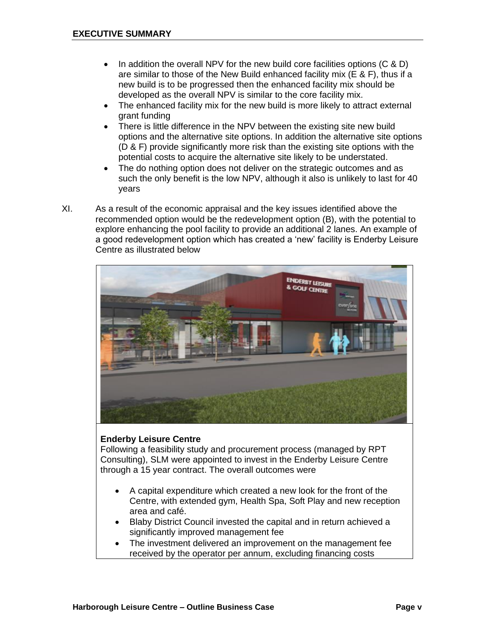- In addition the overall NPV for the new build core facilities options (C & D) are similar to those of the New Build enhanced facility mix (E & F), thus if a new build is to be progressed then the enhanced facility mix should be developed as the overall NPV is similar to the core facility mix.
- The enhanced facility mix for the new build is more likely to attract external grant funding
- There is little difference in the NPV between the existing site new build options and the alternative site options. In addition the alternative site options (D & F) provide significantly more risk than the existing site options with the potential costs to acquire the alternative site likely to be understated.
- The do nothing option does not deliver on the strategic outcomes and as such the only benefit is the low NPV, although it also is unlikely to last for 40 years
- XI. As a result of the economic appraisal and the key issues identified above the recommended option would be the redevelopment option (B), with the potential to explore enhancing the pool facility to provide an additional 2 lanes. An example of a good redevelopment option which has created a 'new' facility is Enderby Leisure Centre as illustrated below



#### **Enderby Leisure Centre**

Following a feasibility study and procurement process (managed by RPT Consulting), SLM were appointed to invest in the Enderby Leisure Centre through a 15 year contract. The overall outcomes were

- A capital expenditure which created a new look for the front of the Centre, with extended gym, Health Spa, Soft Play and new reception area and café.
- Blaby District Council invested the capital and in return achieved a significantly improved management fee
- The investment delivered an improvement on the management fee received by the operator per annum, excluding financing costs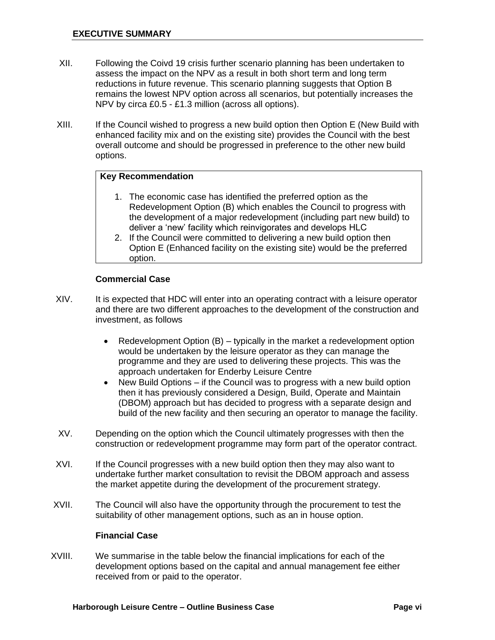- XII. Following the Coivd 19 crisis further scenario planning has been undertaken to assess the impact on the NPV as a result in both short term and long term reductions in future revenue. This scenario planning suggests that Option B remains the lowest NPV option across all scenarios, but potentially increases the NPV by circa £0.5 - £1.3 million (across all options).
- XIII. If the Council wished to progress a new build option then Option E (New Build with enhanced facility mix and on the existing site) provides the Council with the best overall outcome and should be progressed in preference to the other new build options.

#### **Key Recommendation**

- 1. The economic case has identified the preferred option as the Redevelopment Option (B) which enables the Council to progress with the development of a major redevelopment (including part new build) to deliver a 'new' facility which reinvigorates and develops HLC
- 2. If the Council were committed to delivering a new build option then Option E (Enhanced facility on the existing site) would be the preferred option.

#### **Commercial Case**

- XIV. It is expected that HDC will enter into an operating contract with a leisure operator and there are two different approaches to the development of the construction and investment, as follows
	- Redevelopment Option (B) typically in the market a redevelopment option would be undertaken by the leisure operator as they can manage the programme and they are used to delivering these projects. This was the approach undertaken for Enderby Leisure Centre
	- New Build Options if the Council was to progress with a new build option then it has previously considered a Design, Build, Operate and Maintain (DBOM) approach but has decided to progress with a separate design and build of the new facility and then securing an operator to manage the facility.
- XV. Depending on the option which the Council ultimately progresses with then the construction or redevelopment programme may form part of the operator contract.
- XVI. If the Council progresses with a new build option then they may also want to undertake further market consultation to revisit the DBOM approach and assess the market appetite during the development of the procurement strategy.
- XVII. The Council will also have the opportunity through the procurement to test the suitability of other management options, such as an in house option.

#### **Financial Case**

XVIII. We summarise in the table below the financial implications for each of the development options based on the capital and annual management fee either received from or paid to the operator.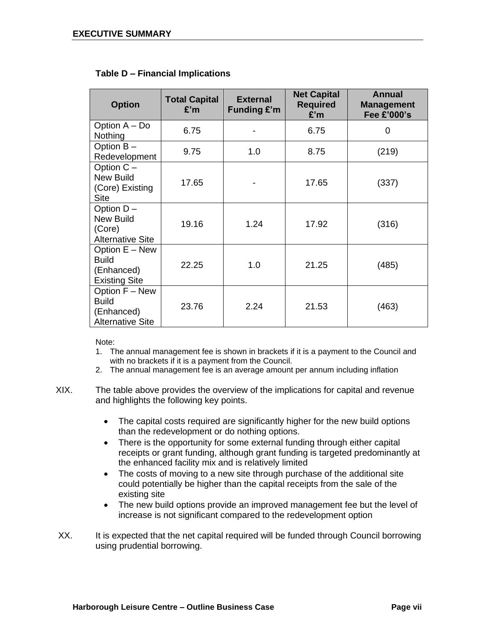| <b>Option</b>                                                           | <b>Total Capital</b><br>E'm | <b>External</b><br><b>Funding £'m</b> | <b>Net Capital</b><br><b>Required</b><br>£'m | Annual<br><b>Management</b><br>Fee £'000's |
|-------------------------------------------------------------------------|-----------------------------|---------------------------------------|----------------------------------------------|--------------------------------------------|
| Option A - Do<br>Nothing                                                | 6.75                        |                                       | 6.75                                         | 0                                          |
| Option B-<br>Redevelopment                                              | 9.75                        | 1.0                                   | 8.75                                         | (219)                                      |
| Option C -<br><b>New Build</b><br>(Core) Existing<br><b>Site</b>        | 17.65                       |                                       | 17.65                                        | (337)                                      |
| Option D-<br><b>New Build</b><br>(Core)<br><b>Alternative Site</b>      | 19.16                       | 1.24                                  | 17.92                                        | (316)                                      |
| Option E - New<br><b>Build</b><br>(Enhanced)<br><b>Existing Site</b>    | 22.25                       | 1.0                                   | 21.25                                        | (485)                                      |
| Option F - New<br><b>Build</b><br>(Enhanced)<br><b>Alternative Site</b> | 23.76                       | 2.24                                  | 21.53                                        | (463)                                      |

#### **Table D – Financial Implications**

Note:

- 1. The annual management fee is shown in brackets if it is a payment to the Council and with no brackets if it is a payment from the Council.
- 2. The annual management fee is an average amount per annum including inflation
- XIX. The table above provides the overview of the implications for capital and revenue and highlights the following key points.
	- The capital costs required are significantly higher for the new build options than the redevelopment or do nothing options.
	- There is the opportunity for some external funding through either capital receipts or grant funding, although grant funding is targeted predominantly at the enhanced facility mix and is relatively limited
	- The costs of moving to a new site through purchase of the additional site could potentially be higher than the capital receipts from the sale of the existing site
	- The new build options provide an improved management fee but the level of increase is not significant compared to the redevelopment option
- XX. It is expected that the net capital required will be funded through Council borrowing using prudential borrowing.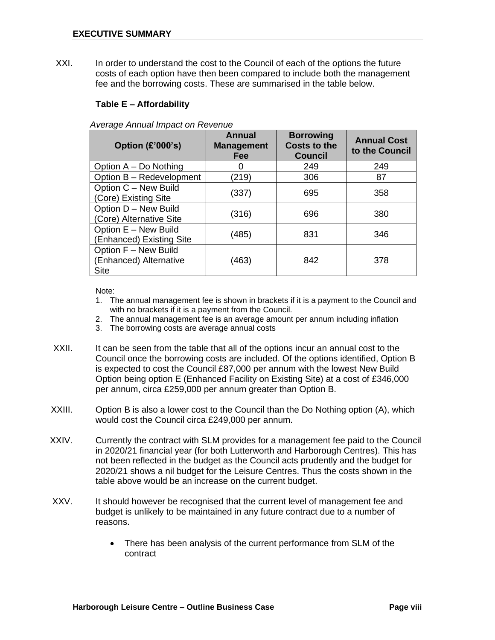XXI. In order to understand the cost to the Council of each of the options the future costs of each option have then been compared to include both the management fee and the borrowing costs. These are summarised in the table below.

#### **Table E – Affordability**

*Average Annual Impact on Revenue*

| Option (£'000's)                                              | Annual<br><b>Management</b><br><b>Fee</b> | <b>Borrowing</b><br><b>Costs to the</b><br><b>Council</b> | <b>Annual Cost</b><br>to the Council |
|---------------------------------------------------------------|-------------------------------------------|-----------------------------------------------------------|--------------------------------------|
| Option A - Do Nothing                                         | 0                                         | 249                                                       | 249                                  |
| Option B - Redevelopment                                      | (219)                                     | 306                                                       | 87                                   |
| Option C - New Build<br>(Core) Existing Site                  | (337)                                     | 695                                                       | 358                                  |
| Option D - New Build<br>(Core) Alternative Site               | (316)                                     | 696                                                       | 380                                  |
| Option E - New Build<br>(Enhanced) Existing Site              | (485)                                     | 831                                                       | 346                                  |
| Option F - New Build<br>(Enhanced) Alternative<br><b>Site</b> | (463)                                     | 842                                                       | 378                                  |

Note:

- 1. The annual management fee is shown in brackets if it is a payment to the Council and with no brackets if it is a payment from the Council.
- 2. The annual management fee is an average amount per annum including inflation
- 3. The borrowing costs are average annual costs
- XXII. It can be seen from the table that all of the options incur an annual cost to the Council once the borrowing costs are included. Of the options identified, Option B is expected to cost the Council £87,000 per annum with the lowest New Build Option being option E (Enhanced Facility on Existing Site) at a cost of £346,000 per annum, circa £259,000 per annum greater than Option B.
- XXIII. Option B is also a lower cost to the Council than the Do Nothing option (A), which would cost the Council circa £249,000 per annum.
- XXIV. Currently the contract with SLM provides for a management fee paid to the Council in 2020/21 financial year (for both Lutterworth and Harborough Centres). This has not been reflected in the budget as the Council acts prudently and the budget for 2020/21 shows a nil budget for the Leisure Centres. Thus the costs shown in the table above would be an increase on the current budget.
- XXV. It should however be recognised that the current level of management fee and budget is unlikely to be maintained in any future contract due to a number of reasons.
	- There has been analysis of the current performance from SLM of the contract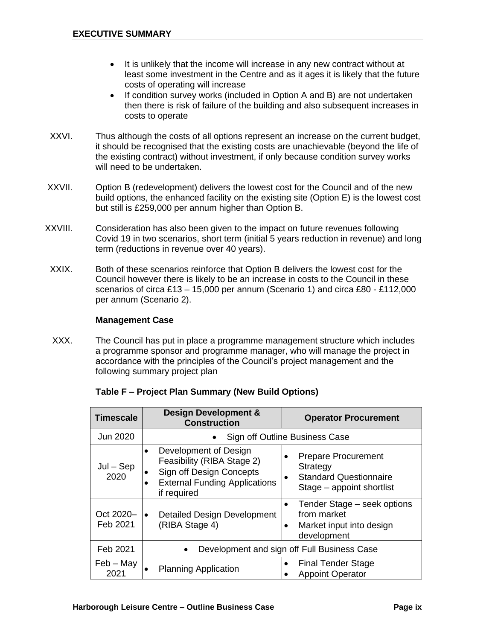- It is unlikely that the income will increase in any new contract without at least some investment in the Centre and as it ages it is likely that the future costs of operating will increase
- If condition survey works (included in Option A and B) are not undertaken then there is risk of failure of the building and also subsequent increases in costs to operate
- XXVI. Thus although the costs of all options represent an increase on the current budget, it should be recognised that the existing costs are unachievable (beyond the life of the existing contract) without investment, if only because condition survey works will need to be undertaken.
- XXVII. Option B (redevelopment) delivers the lowest cost for the Council and of the new build options, the enhanced facility on the existing site (Option E) is the lowest cost but still is £259,000 per annum higher than Option B.
- XXVIII. Consideration has also been given to the impact on future revenues following Covid 19 in two scenarios, short term (initial 5 years reduction in revenue) and long term (reductions in revenue over 40 years).
- XXIX. Both of these scenarios reinforce that Option B delivers the lowest cost for the Council however there is likely to be an increase in costs to the Council in these scenarios of circa £13 – 15,000 per annum (Scenario 1) and circa £80 - £112,000 per annum (Scenario 2).

#### **Management Case**

XXX. The Council has put in place a programme management structure which includes a programme sponsor and programme manager, who will manage the project in accordance with the principles of the Council's project management and the following summary project plan

| <b>Timescale</b>      | <b>Design Development &amp;</b><br><b>Construction</b>                                                                                              | <b>Operator Procurement</b>                                                                          |
|-----------------------|-----------------------------------------------------------------------------------------------------------------------------------------------------|------------------------------------------------------------------------------------------------------|
| Jun 2020              |                                                                                                                                                     | Sign off Outline Business Case                                                                       |
| $Jul - Sep$<br>2020   | Development of Design<br>$\bullet$<br>Feasibility (RIBA Stage 2)<br>Sign off Design Concepts<br><b>External Funding Applications</b><br>if required | <b>Prepare Procurement</b><br>Strategy<br><b>Standard Questionnaire</b><br>Stage – appoint shortlist |
| Oct 2020-<br>Feb 2021 | <b>Detailed Design Development</b><br>(RIBA Stage 4)                                                                                                | Tender Stage – seek options<br>from market<br>Market input into design<br>development                |
| Feb 2021              |                                                                                                                                                     | Development and sign off Full Business Case                                                          |
| $Feb - May$<br>2021   | <b>Planning Application</b>                                                                                                                         | <b>Final Tender Stage</b><br><b>Appoint Operator</b>                                                 |

#### **Table F – Project Plan Summary (New Build Options)**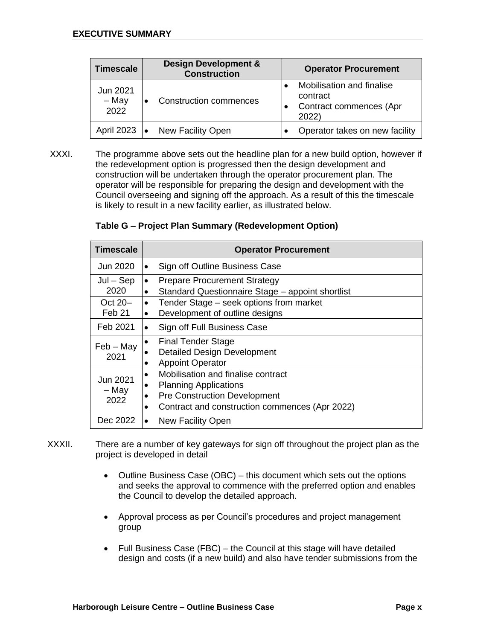| <b>Timescale</b>          | <b>Design Development &amp;</b><br><b>Construction</b> | <b>Operator Procurement</b>                                               |
|---------------------------|--------------------------------------------------------|---------------------------------------------------------------------------|
| Jun 2021<br>- May<br>2022 | <b>Construction commences</b>                          | Mobilisation and finalise<br>contract<br>Contract commences (Apr<br>2022) |
| <b>April 2023</b>         | New Facility Open                                      | Operator takes on new facility                                            |

XXXI. The programme above sets out the headline plan for a new build option, however if the redevelopment option is progressed then the design development and construction will be undertaken through the operator procurement plan. The operator will be responsible for preparing the design and development with the Council overseeing and signing off the approach. As a result of this the timescale is likely to result in a new facility earlier, as illustrated below.

| Table G - Project Plan Summary (Redevelopment Option) |  |
|-------------------------------------------------------|--|
|-------------------------------------------------------|--|

| <b>Timescale</b>          | <b>Operator Procurement</b>                                                                                                                                                                |
|---------------------------|--------------------------------------------------------------------------------------------------------------------------------------------------------------------------------------------|
| Jun 2020                  | Sign off Outline Business Case<br>$\bullet$                                                                                                                                                |
| $Jul - Sep$<br>2020       | <b>Prepare Procurement Strategy</b><br>$\bullet$<br>Standard Questionnaire Stage - appoint shortlist<br>$\bullet$                                                                          |
| Oct 20-<br>Feb 21         | Tender Stage – seek options from market<br>$\bullet$<br>Development of outline designs<br>$\bullet$                                                                                        |
| Feb 2021                  | Sign off Full Business Case<br>$\bullet$                                                                                                                                                   |
| $Feb - May$<br>2021       | <b>Final Tender Stage</b><br>$\bullet$<br><b>Detailed Design Development</b><br><b>Appoint Operator</b>                                                                                    |
| Jun 2021<br>– May<br>2022 | Mobilisation and finalise contract<br><b>Planning Applications</b><br>٠<br><b>Pre Construction Development</b><br>$\bullet$<br>Contract and construction commences (Apr 2022)<br>$\bullet$ |
| Dec 2022                  | New Facility Open                                                                                                                                                                          |

- XXXII. There are a number of key gateways for sign off throughout the project plan as the project is developed in detail
	- Outline Business Case (OBC) this document which sets out the options and seeks the approval to commence with the preferred option and enables the Council to develop the detailed approach.
	- Approval process as per Council's procedures and project management group
	- Full Business Case (FBC) the Council at this stage will have detailed design and costs (if a new build) and also have tender submissions from the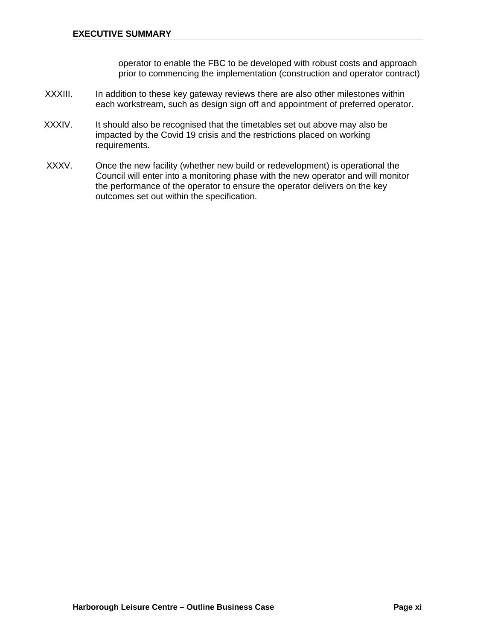operator to enable the FBC to be developed with robust costs and approach prior to commencing the implementation (construction and operator contract)

- XXXIII. In addition to these key gateway reviews there are also other milestones within each workstream, such as design sign off and appointment of preferred operator.
- XXXIV. It should also be recognised that the timetables set out above may also be impacted by the Covid 19 crisis and the restrictions placed on working requirements.
- XXXV. Once the new facility (whether new build or redevelopment) is operational the Council will enter into a monitoring phase with the new operator and will monitor the performance of the operator to ensure the operator delivers on the key outcomes set out within the specification.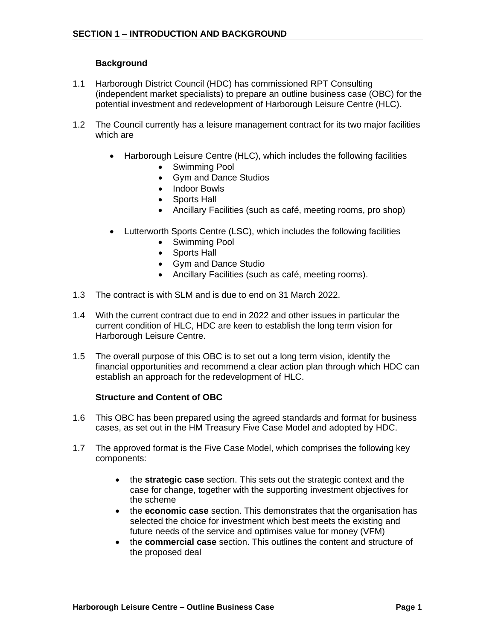#### **Background**

- 1.1 Harborough District Council (HDC) has commissioned RPT Consulting (independent market specialists) to prepare an outline business case (OBC) for the potential investment and redevelopment of Harborough Leisure Centre (HLC).
- 1.2 The Council currently has a leisure management contract for its two major facilities which are
	- Harborough Leisure Centre (HLC), which includes the following facilities
		- Swimming Pool
		- Gym and Dance Studios
		- Indoor Bowls
		- Sports Hall
		- Ancillary Facilities (such as café, meeting rooms, pro shop)
	- Lutterworth Sports Centre (LSC), which includes the following facilities
		- Swimming Pool
		- Sports Hall
		- Gym and Dance Studio
		- Ancillary Facilities (such as café, meeting rooms).
- 1.3 The contract is with SLM and is due to end on 31 March 2022.
- 1.4 With the current contract due to end in 2022 and other issues in particular the current condition of HLC, HDC are keen to establish the long term vision for Harborough Leisure Centre.
- 1.5 The overall purpose of this OBC is to set out a long term vision, identify the financial opportunities and recommend a clear action plan through which HDC can establish an approach for the redevelopment of HLC.

#### **Structure and Content of OBC**

- 1.6 This OBC has been prepared using the agreed standards and format for business cases, as set out in the HM Treasury Five Case Model and adopted by HDC.
- 1.7 The approved format is the Five Case Model, which comprises the following key components:
	- the **strategic case** section. This sets out the strategic context and the case for change, together with the supporting investment objectives for the scheme
	- the **economic case** section. This demonstrates that the organisation has selected the choice for investment which best meets the existing and future needs of the service and optimises value for money (VFM)
	- the **commercial case** section. This outlines the content and structure of the proposed deal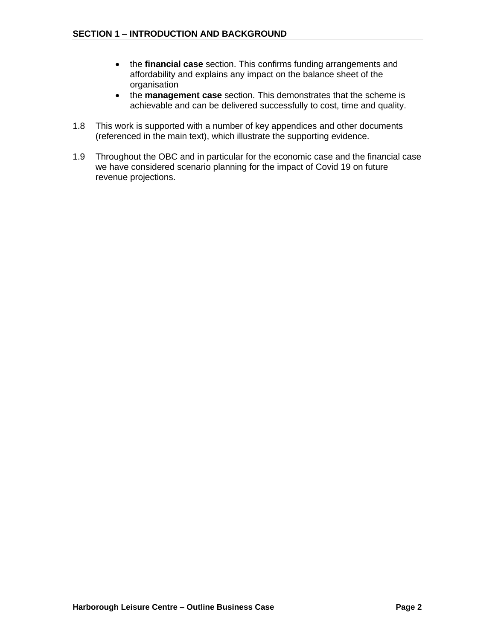- the **financial case** section. This confirms funding arrangements and affordability and explains any impact on the balance sheet of the organisation
- the **management case** section. This demonstrates that the scheme is achievable and can be delivered successfully to cost, time and quality.
- 1.8 This work is supported with a number of key appendices and other documents (referenced in the main text), which illustrate the supporting evidence.
- 1.9 Throughout the OBC and in particular for the economic case and the financial case we have considered scenario planning for the impact of Covid 19 on future revenue projections.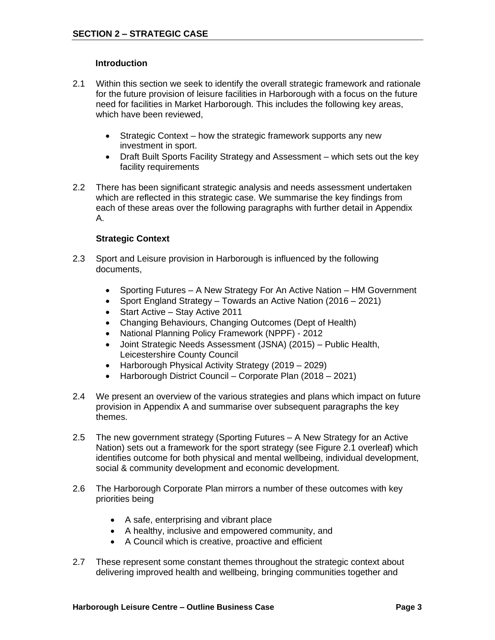#### **Introduction**

- 2.1 Within this section we seek to identify the overall strategic framework and rationale for the future provision of leisure facilities in Harborough with a focus on the future need for facilities in Market Harborough. This includes the following key areas, which have been reviewed,
	- Strategic Context how the strategic framework supports any new investment in sport.
	- Draft Built Sports Facility Strategy and Assessment which sets out the key facility requirements
- 2.2 There has been significant strategic analysis and needs assessment undertaken which are reflected in this strategic case. We summarise the key findings from each of these areas over the following paragraphs with further detail in Appendix A.

#### **Strategic Context**

- 2.3 Sport and Leisure provision in Harborough is influenced by the following documents,
	- Sporting Futures A New Strategy For An Active Nation HM Government
	- Sport England Strategy Towards an Active Nation (2016 2021)
	- Start Active Stay Active 2011
	- Changing Behaviours, Changing Outcomes (Dept of Health)
	- National Planning Policy Framework (NPPF) 2012
	- Joint Strategic Needs Assessment (JSNA) (2015) Public Health, Leicestershire County Council
	- Harborough Physical Activity Strategy (2019 2029)
	- Harborough District Council Corporate Plan (2018 2021)
- 2.4 We present an overview of the various strategies and plans which impact on future provision in Appendix A and summarise over subsequent paragraphs the key themes.
- 2.5 The new government strategy (Sporting Futures A New Strategy for an Active Nation) sets out a framework for the sport strategy (see Figure 2.1 overleaf) which identifies outcome for both physical and mental wellbeing, individual development, social & community development and economic development.
- 2.6 The Harborough Corporate Plan mirrors a number of these outcomes with key priorities being
	- A safe, enterprising and vibrant place
	- A healthy, inclusive and empowered community, and
	- A Council which is creative, proactive and efficient
- 2.7 These represent some constant themes throughout the strategic context about delivering improved health and wellbeing, bringing communities together and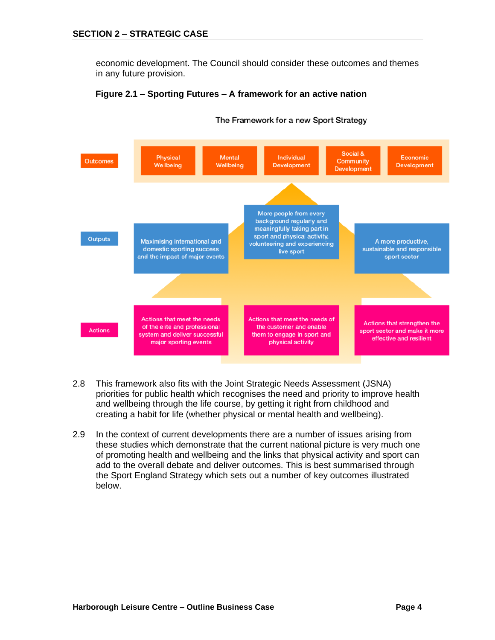economic development. The Council should consider these outcomes and themes in any future provision.



#### **Figure 2.1 – Sporting Futures – A framework for an active nation**

The Framework for a new Sport Strategy

- 2.8 This framework also fits with the Joint Strategic Needs Assessment (JSNA) priorities for public health which recognises the need and priority to improve health and wellbeing through the life course, by getting it right from childhood and creating a habit for life (whether physical or mental health and wellbeing).
- 2.9 In the context of current developments there are a number of issues arising from these studies which demonstrate that the current national picture is very much one of promoting health and wellbeing and the links that physical activity and sport can add to the overall debate and deliver outcomes. This is best summarised through the Sport England Strategy which sets out a number of key outcomes illustrated below.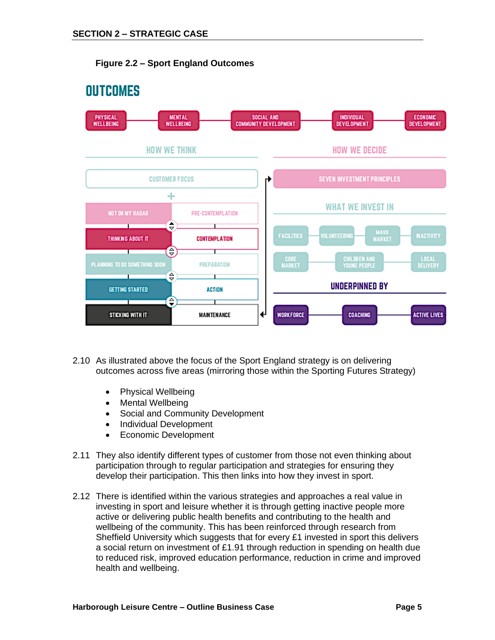



- 2.10 As illustrated above the focus of the Sport England strategy is on delivering outcomes across five areas (mirroring those within the Sporting Futures Strategy)
	- Physical Wellbeing
	- Mental Wellbeing
	- Social and Community Development
	- Individual Development
	- Economic Development
- 2.11 They also identify different types of customer from those not even thinking about participation through to regular participation and strategies for ensuring they develop their participation. This then links into how they invest in sport.
- 2.12 There is identified within the various strategies and approaches a real value in investing in sport and leisure whether it is through getting inactive people more active or delivering public health benefits and contributing to the health and wellbeing of the community. This has been reinforced through research from Sheffield University which suggests that for every £1 invested in sport this delivers a social return on investment of £1.91 through reduction in spending on health due to reduced risk, improved education performance, reduction in crime and improved health and wellbeing.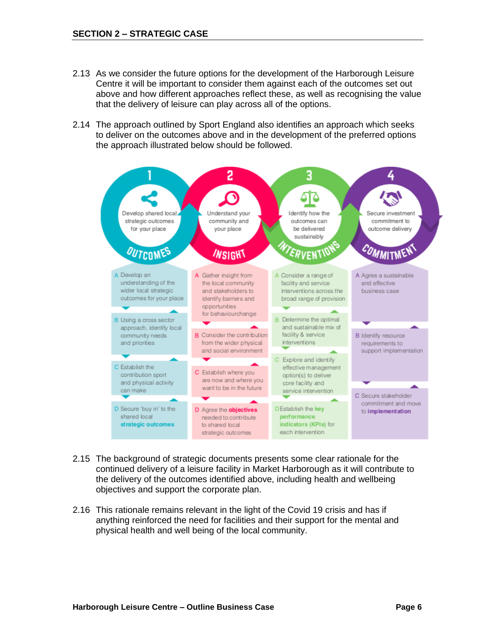- 2.13 As we consider the future options for the development of the Harborough Leisure Centre it will be important to consider them against each of the outcomes set out above and how different approaches reflect these, as well as recognising the value that the delivery of leisure can play across all of the options.
- 2.14 The approach outlined by Sport England also identifies an approach which seeks to deliver on the outcomes above and in the development of the preferred options the approach illustrated below should be followed.



- 2.15 The background of strategic documents presents some clear rationale for the continued delivery of a leisure facility in Market Harborough as it will contribute to the delivery of the outcomes identified above, including health and wellbeing objectives and support the corporate plan.
- 2.16 This rationale remains relevant in the light of the Covid 19 crisis and has if anything reinforced the need for facilities and their support for the mental and physical health and well being of the local community.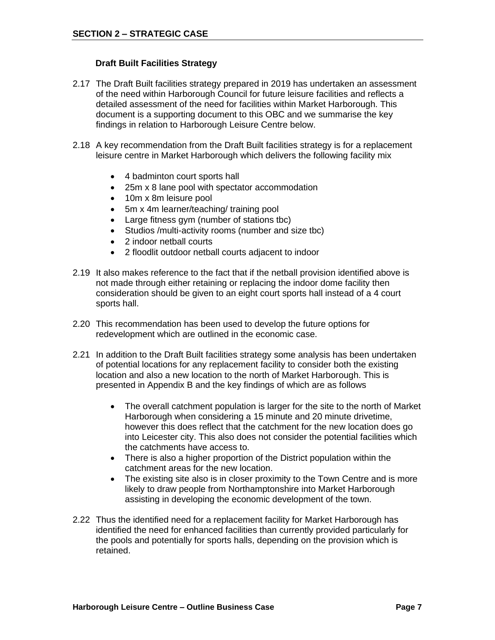#### **Draft Built Facilities Strategy**

- 2.17 The Draft Built facilities strategy prepared in 2019 has undertaken an assessment of the need within Harborough Council for future leisure facilities and reflects a detailed assessment of the need for facilities within Market Harborough. This document is a supporting document to this OBC and we summarise the key findings in relation to Harborough Leisure Centre below.
- 2.18 A key recommendation from the Draft Built facilities strategy is for a replacement leisure centre in Market Harborough which delivers the following facility mix
	- 4 badminton court sports hall
	- 25m x 8 lane pool with spectator accommodation
	- 10m x 8m leisure pool
	- 5m x 4m learner/teaching/ training pool
	- Large fitness gym (number of stations tbc)
	- Studios /multi-activity rooms (number and size tbc)
	- 2 indoor netball courts
	- 2 floodlit outdoor netball courts adjacent to indoor
- 2.19 It also makes reference to the fact that if the netball provision identified above is not made through either retaining or replacing the indoor dome facility then consideration should be given to an eight court sports hall instead of a 4 court sports hall.
- 2.20 This recommendation has been used to develop the future options for redevelopment which are outlined in the economic case.
- 2.21 In addition to the Draft Built facilities strategy some analysis has been undertaken of potential locations for any replacement facility to consider both the existing location and also a new location to the north of Market Harborough. This is presented in Appendix B and the key findings of which are as follows
	- The overall catchment population is larger for the site to the north of Market Harborough when considering a 15 minute and 20 minute drivetime, however this does reflect that the catchment for the new location does go into Leicester city. This also does not consider the potential facilities which the catchments have access to.
	- There is also a higher proportion of the District population within the catchment areas for the new location.
	- The existing site also is in closer proximity to the Town Centre and is more likely to draw people from Northamptonshire into Market Harborough assisting in developing the economic development of the town.
- 2.22 Thus the identified need for a replacement facility for Market Harborough has identified the need for enhanced facilities than currently provided particularly for the pools and potentially for sports halls, depending on the provision which is retained.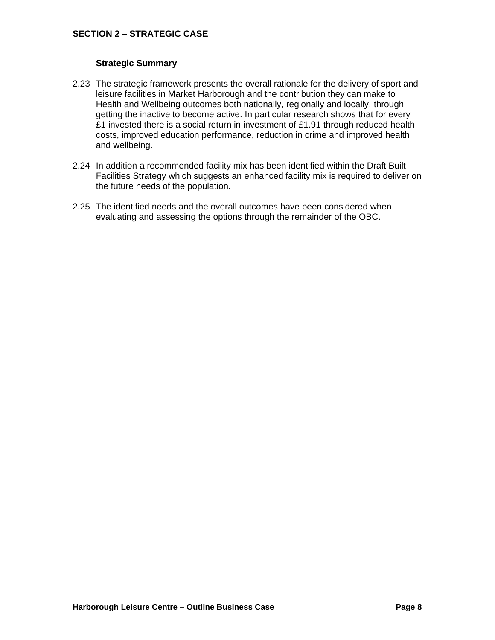#### **Strategic Summary**

- 2.23 The strategic framework presents the overall rationale for the delivery of sport and leisure facilities in Market Harborough and the contribution they can make to Health and Wellbeing outcomes both nationally, regionally and locally, through getting the inactive to become active. In particular research shows that for every £1 invested there is a social return in investment of £1.91 through reduced health costs, improved education performance, reduction in crime and improved health and wellbeing.
- 2.24 In addition a recommended facility mix has been identified within the Draft Built Facilities Strategy which suggests an enhanced facility mix is required to deliver on the future needs of the population.
- 2.25 The identified needs and the overall outcomes have been considered when evaluating and assessing the options through the remainder of the OBC.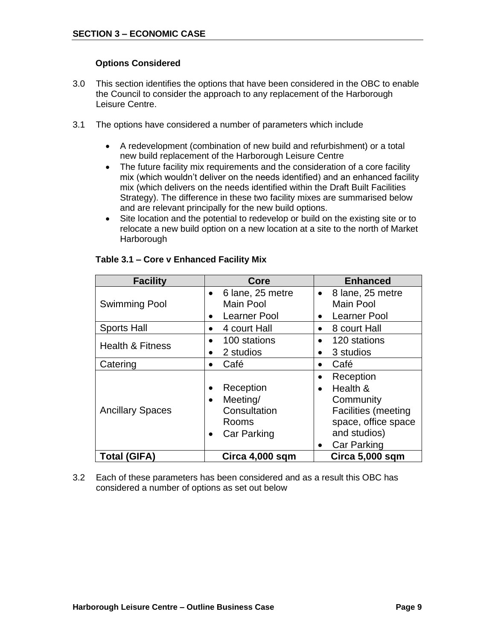#### **Options Considered**

- 3.0 This section identifies the options that have been considered in the OBC to enable the Council to consider the approach to any replacement of the Harborough Leisure Centre.
- 3.1 The options have considered a number of parameters which include
	- A redevelopment (combination of new build and refurbishment) or a total new build replacement of the Harborough Leisure Centre
	- The future facility mix requirements and the consideration of a core facility mix (which wouldn't deliver on the needs identified) and an enhanced facility mix (which delivers on the needs identified within the Draft Built Facilities Strategy). The difference in these two facility mixes are summarised below and are relevant principally for the new build options.
	- Site location and the potential to redevelop or build on the existing site or to relocate a new build option on a new location at a site to the north of Market Harborough

| <b>Facility</b>             | Core                                                                                                        | <b>Enhanced</b>                                                                                                                                         |  |  |
|-----------------------------|-------------------------------------------------------------------------------------------------------------|---------------------------------------------------------------------------------------------------------------------------------------------------------|--|--|
|                             | 6 lane, 25 metre<br>$\bullet$                                                                               | 8 lane, 25 metre<br>$\bullet$                                                                                                                           |  |  |
| <b>Swimming Pool</b>        | Main Pool                                                                                                   | <b>Main Pool</b>                                                                                                                                        |  |  |
|                             | Learner Pool<br>$\bullet$                                                                                   | <b>Learner Pool</b><br>$\bullet$                                                                                                                        |  |  |
| <b>Sports Hall</b>          | 4 court Hall<br>$\bullet$                                                                                   | 8 court Hall<br>$\bullet$                                                                                                                               |  |  |
| <b>Health &amp; Fitness</b> | 100 stations<br>$\bullet$                                                                                   | 120 stations<br>$\bullet$                                                                                                                               |  |  |
|                             | 2 studios<br>$\bullet$                                                                                      | 3 studios<br>$\bullet$                                                                                                                                  |  |  |
| Catering                    | Café<br>$\bullet$                                                                                           | Café<br>$\bullet$                                                                                                                                       |  |  |
| <b>Ancillary Spaces</b>     | Reception<br>$\bullet$<br>Meeting/<br>$\bullet$<br>Consultation<br>Rooms<br><b>Car Parking</b><br>$\bullet$ | Reception<br>Health &<br>$\bullet$<br>Community<br><b>Facilities (meeting</b><br>space, office space<br>and studios)<br><b>Car Parking</b><br>$\bullet$ |  |  |
| <b>Total (GIFA)</b>         | Circa 4,000 sqm                                                                                             | Circa 5,000 sqm                                                                                                                                         |  |  |

#### **Table 3.1 – Core v Enhanced Facility Mix**

3.2 Each of these parameters has been considered and as a result this OBC has considered a number of options as set out below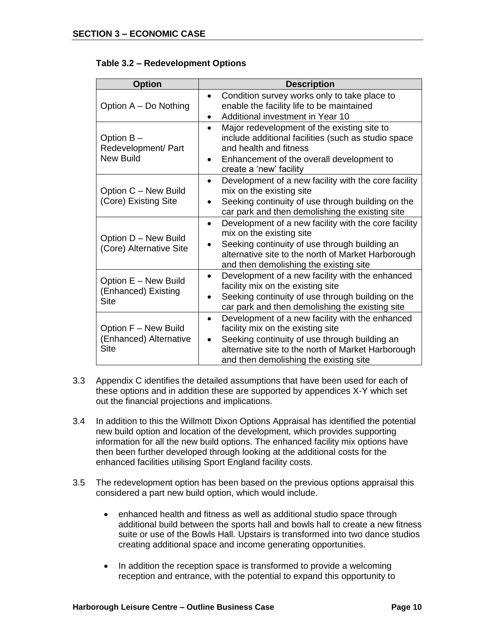|  | Table 3.2 - Redevelopment Options |  |  |
|--|-----------------------------------|--|--|
|--|-----------------------------------|--|--|

| <b>Option</b>                                          | <b>Description</b>                                                                                                                                                                                                                                      |
|--------------------------------------------------------|---------------------------------------------------------------------------------------------------------------------------------------------------------------------------------------------------------------------------------------------------------|
| Option A - Do Nothing                                  | Condition survey works only to take place to<br>$\bullet$<br>enable the facility life to be maintained<br>Additional investment in Year 10<br>٠                                                                                                         |
| Option B-<br>Redevelopment/ Part<br><b>New Build</b>   | Major redevelopment of the existing site to<br>$\bullet$<br>include additional facilities (such as studio space<br>and health and fitness<br>Enhancement of the overall development to<br>$\bullet$<br>create a 'new' facility                          |
| Option C - New Build<br>(Core) Existing Site           | Development of a new facility with the core facility<br>$\bullet$<br>mix on the existing site<br>Seeking continuity of use through building on the<br>car park and then demolishing the existing site                                                   |
| Option D - New Build<br>(Core) Alternative Site        | Development of a new facility with the core facility<br>$\bullet$<br>mix on the existing site<br>Seeking continuity of use through building an<br>alternative site to the north of Market Harborough<br>and then demolishing the existing site          |
| Option E - New Build<br>(Enhanced) Existing<br>Site    | Development of a new facility with the enhanced<br>$\bullet$<br>facility mix on the existing site<br>Seeking continuity of use through building on the<br>car park and then demolishing the existing site                                               |
| Option F - New Build<br>(Enhanced) Alternative<br>Site | Development of a new facility with the enhanced<br>٠<br>facility mix on the existing site<br>Seeking continuity of use through building an<br>$\bullet$<br>alternative site to the north of Market Harborough<br>and then demolishing the existing site |

- 3.3 Appendix C identifies the detailed assumptions that have been used for each of these options and in addition these are supported by appendices X-Y which set out the financial projections and implications.
- 3.4 In addition to this the Willmott Dixon Options Appraisal has identified the potential new build option and location of the development, which provides supporting information for all the new build options. The enhanced facility mix options have then been further developed through looking at the additional costs for the enhanced facilities utilising Sport England facility costs.
- 3.5 The redevelopment option has been based on the previous options appraisal this considered a part new build option, which would include.
	- enhanced health and fitness as well as additional studio space through additional build between the sports hall and bowls hall to create a new fitness suite or use of the Bowls Hall. Upstairs is transformed into two dance studios creating additional space and income generating opportunities.
	- In addition the reception space is transformed to provide a welcoming reception and entrance, with the potential to expand this opportunity to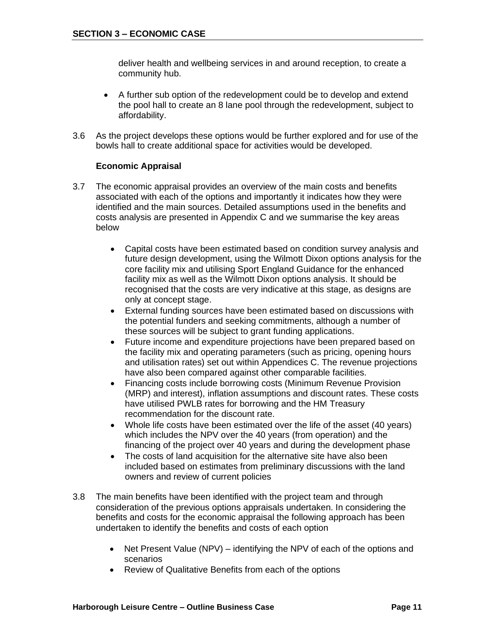deliver health and wellbeing services in and around reception, to create a community hub.

- A further sub option of the redevelopment could be to develop and extend the pool hall to create an 8 lane pool through the redevelopment, subject to affordability.
- 3.6 As the project develops these options would be further explored and for use of the bowls hall to create additional space for activities would be developed.

#### **Economic Appraisal**

- 3.7 The economic appraisal provides an overview of the main costs and benefits associated with each of the options and importantly it indicates how they were identified and the main sources. Detailed assumptions used in the benefits and costs analysis are presented in Appendix C and we summarise the key areas below
	- Capital costs have been estimated based on condition survey analysis and future design development, using the Wilmott Dixon options analysis for the core facility mix and utilising Sport England Guidance for the enhanced facility mix as well as the Wilmott Dixon options analysis. It should be recognised that the costs are very indicative at this stage, as designs are only at concept stage.
	- External funding sources have been estimated based on discussions with the potential funders and seeking commitments, although a number of these sources will be subject to grant funding applications.
	- Future income and expenditure projections have been prepared based on the facility mix and operating parameters (such as pricing, opening hours and utilisation rates) set out within Appendices C. The revenue projections have also been compared against other comparable facilities.
	- Financing costs include borrowing costs (Minimum Revenue Provision (MRP) and interest), inflation assumptions and discount rates. These costs have utilised PWLB rates for borrowing and the HM Treasury recommendation for the discount rate.
	- Whole life costs have been estimated over the life of the asset (40 years) which includes the NPV over the 40 years (from operation) and the financing of the project over 40 years and during the development phase
	- The costs of land acquisition for the alternative site have also been included based on estimates from preliminary discussions with the land owners and review of current policies
- 3.8 The main benefits have been identified with the project team and through consideration of the previous options appraisals undertaken. In considering the benefits and costs for the economic appraisal the following approach has been undertaken to identify the benefits and costs of each option
	- Net Present Value (NPV) identifying the NPV of each of the options and scenarios
	- Review of Qualitative Benefits from each of the options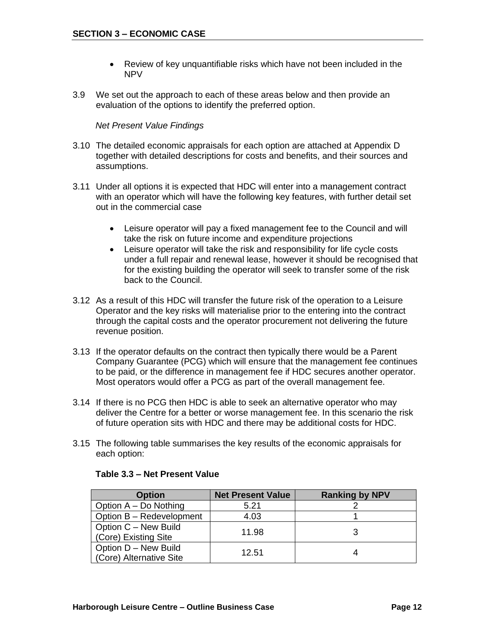- Review of key unquantifiable risks which have not been included in the NPV
- 3.9 We set out the approach to each of these areas below and then provide an evaluation of the options to identify the preferred option.

#### *Net Present Value Findings*

- 3.10 The detailed economic appraisals for each option are attached at Appendix D together with detailed descriptions for costs and benefits, and their sources and assumptions.
- 3.11 Under all options it is expected that HDC will enter into a management contract with an operator which will have the following key features, with further detail set out in the commercial case
	- Leisure operator will pay a fixed management fee to the Council and will take the risk on future income and expenditure projections
	- Leisure operator will take the risk and responsibility for life cycle costs under a full repair and renewal lease, however it should be recognised that for the existing building the operator will seek to transfer some of the risk back to the Council.
- 3.12 As a result of this HDC will transfer the future risk of the operation to a Leisure Operator and the key risks will materialise prior to the entering into the contract through the capital costs and the operator procurement not delivering the future revenue position.
- 3.13 If the operator defaults on the contract then typically there would be a Parent Company Guarantee (PCG) which will ensure that the management fee continues to be paid, or the difference in management fee if HDC secures another operator. Most operators would offer a PCG as part of the overall management fee.
- 3.14 If there is no PCG then HDC is able to seek an alternative operator who may deliver the Centre for a better or worse management fee. In this scenario the risk of future operation sits with HDC and there may be additional costs for HDC.
- 3.15 The following table summarises the key results of the economic appraisals for each option:

| <b>Option</b>            | <b>Net Present Value</b> | <b>Ranking by NPV</b> |
|--------------------------|--------------------------|-----------------------|
| Option A - Do Nothing    | 5.21                     |                       |
| Option B - Redevelopment | 4.03                     |                       |
| Option C - New Build     | 11.98                    |                       |
| (Core) Existing Site     |                          |                       |
| Option D - New Build     | 12.51                    |                       |
| (Core) Alternative Site  |                          |                       |

#### **Table 3.3 – Net Present Value**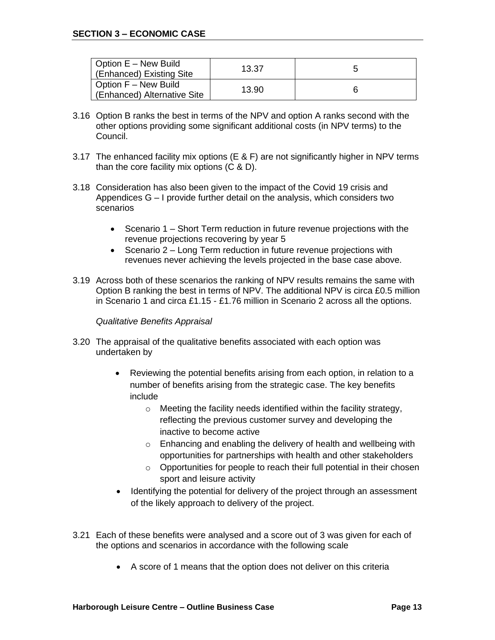| Option E - New Build<br>(Enhanced) Existing Site    | 13.37 |  |
|-----------------------------------------------------|-------|--|
| Option F - New Build<br>(Enhanced) Alternative Site | 13.90 |  |

- 3.16 Option B ranks the best in terms of the NPV and option A ranks second with the other options providing some significant additional costs (in NPV terms) to the Council.
- 3.17 The enhanced facility mix options (E & F) are not significantly higher in NPV terms than the core facility mix options (C & D).
- 3.18 Consideration has also been given to the impact of the Covid 19 crisis and Appendices G – I provide further detail on the analysis, which considers two scenarios
	- Scenario 1 Short Term reduction in future revenue projections with the revenue projections recovering by year 5
	- Scenario 2 Long Term reduction in future revenue projections with revenues never achieving the levels projected in the base case above.
- 3.19 Across both of these scenarios the ranking of NPV results remains the same with Option B ranking the best in terms of NPV. The additional NPV is circa £0.5 million in Scenario 1 and circa £1.15 - £1.76 million in Scenario 2 across all the options.

#### *Qualitative Benefits Appraisal*

- 3.20 The appraisal of the qualitative benefits associated with each option was undertaken by
	- Reviewing the potential benefits arising from each option, in relation to a number of benefits arising from the strategic case. The key benefits include
		- o Meeting the facility needs identified within the facility strategy, reflecting the previous customer survey and developing the inactive to become active
		- o Enhancing and enabling the delivery of health and wellbeing with opportunities for partnerships with health and other stakeholders
		- o Opportunities for people to reach their full potential in their chosen sport and leisure activity
	- Identifying the potential for delivery of the project through an assessment of the likely approach to delivery of the project.
- 3.21 Each of these benefits were analysed and a score out of 3 was given for each of the options and scenarios in accordance with the following scale
	- A score of 1 means that the option does not deliver on this criteria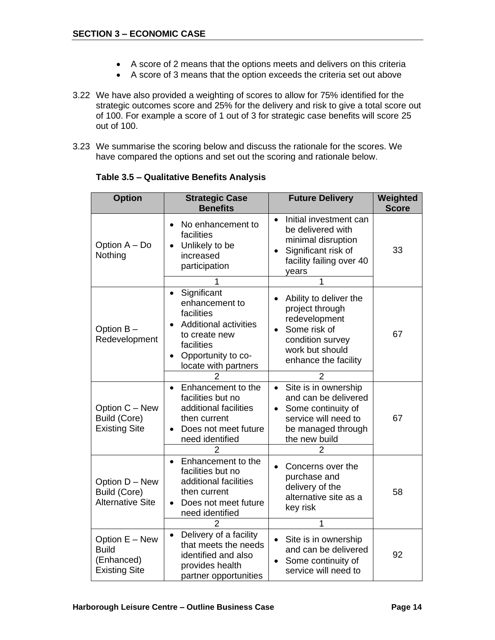- A score of 2 means that the options meets and delivers on this criteria
- A score of 3 means that the option exceeds the criteria set out above
- 3.22 We have also provided a weighting of scores to allow for 75% identified for the strategic outcomes score and 25% for the delivery and risk to give a total score out of 100. For example a score of 1 out of 3 for strategic case benefits will score 25 out of 100.
- 3.23 We summarise the scoring below and discuss the rationale for the scores. We have compared the options and set out the scoring and rationale below.

| <b>Option</b>                                                                                                                                                                                                           | <b>Strategic Case</b><br><b>Benefits</b>                                                                                                                                           | <b>Future Delivery</b>                                                                                                                                                                     | Weighted<br><b>Score</b> |  |
|-------------------------------------------------------------------------------------------------------------------------------------------------------------------------------------------------------------------------|------------------------------------------------------------------------------------------------------------------------------------------------------------------------------------|--------------------------------------------------------------------------------------------------------------------------------------------------------------------------------------------|--------------------------|--|
| Option A - Do<br>Nothing                                                                                                                                                                                                | No enhancement to<br>$\bullet$<br>facilities<br>Unlikely to be<br>$\bullet$<br>increased<br>participation                                                                          | Initial investment can<br>$\bullet$<br>be delivered with<br>minimal disruption<br>Significant risk of<br>facility failing over 40<br>years                                                 | 33                       |  |
| Option B-<br>Redevelopment                                                                                                                                                                                              | Significant<br>$\bullet$<br>enhancement to<br>facilities<br><b>Additional activities</b><br>to create new<br>facilities<br>Opportunity to co-<br>$\bullet$<br>locate with partners | 1<br>Ability to deliver the<br>$\bullet$<br>project through<br>redevelopment<br>Some risk of<br>$\bullet$<br>condition survey<br>work but should<br>enhance the facility<br>$\overline{2}$ | 67                       |  |
| Option C - New<br>Build (Core)<br><b>Existing Site</b>                                                                                                                                                                  | Enhancement to the<br>$\bullet$<br>facilities but no<br>additional facilities<br>then current<br>Does not meet future<br>$\bullet$<br>need identified<br>2                         | Site is in ownership<br>$\bullet$<br>and can be delivered<br>Some continuity of<br>$\bullet$<br>service will need to<br>be managed through<br>the new build<br>$\overline{2}$              | 67                       |  |
| Enhancement to the<br>$\bullet$<br>facilities but no<br>additional facilities<br>Option D - New<br>Build (Core)<br>then current<br><b>Alternative Site</b><br>Does not meet future<br>$\bullet$<br>need identified<br>2 |                                                                                                                                                                                    | Concerns over the<br>purchase and<br>delivery of the<br>alternative site as a<br>key risk<br>1                                                                                             | 58                       |  |
| Option E - New<br><b>Build</b><br>(Enhanced)<br><b>Existing Site</b>                                                                                                                                                    | Delivery of a facility<br>$\bullet$<br>that meets the needs<br>identified and also<br>provides health<br>partner opportunities                                                     | Site is in ownership<br>and can be delivered<br>Some continuity of<br>service will need to                                                                                                 | 92                       |  |

#### **Table 3.5 – Qualitative Benefits Analysis**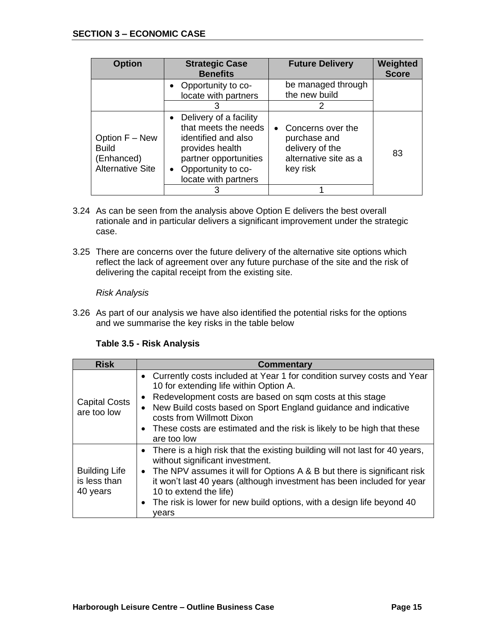| <b>Option</b>                                                                                                                                                                                                                                                        | <b>Strategic Case</b><br><b>Benefits</b>        | <b>Future Delivery</b>                                                                      | Weighted<br><b>Score</b> |
|----------------------------------------------------------------------------------------------------------------------------------------------------------------------------------------------------------------------------------------------------------------------|-------------------------------------------------|---------------------------------------------------------------------------------------------|--------------------------|
|                                                                                                                                                                                                                                                                      | Opportunity to co-<br>locate with partners<br>3 | be managed through<br>the new build<br>2                                                    |                          |
| Delivery of a facility<br>$\bullet$<br>that meets the needs<br>identified and also<br>Option F - New<br><b>Build</b><br>provides health<br>partner opportunities<br>(Enhanced)<br><b>Alternative Site</b><br>Opportunity to co-<br>$\bullet$<br>locate with partners |                                                 | • Concerns over the<br>purchase and<br>delivery of the<br>alternative site as a<br>key risk | 83                       |
|                                                                                                                                                                                                                                                                      |                                                 |                                                                                             |                          |

- 3.24 As can be seen from the analysis above Option E delivers the best overall rationale and in particular delivers a significant improvement under the strategic case.
- 3.25 There are concerns over the future delivery of the alternative site options which reflect the lack of agreement over any future purchase of the site and the risk of delivering the capital receipt from the existing site.

#### *Risk Analysis*

3.26 As part of our analysis we have also identified the potential risks for the options and we summarise the key risks in the table below

#### **Table 3.5 - Risk Analysis**

| <b>Risk</b>                                      | <b>Commentary</b>                                                                                                                                                                                                                                                                                                                                                                                             |
|--------------------------------------------------|---------------------------------------------------------------------------------------------------------------------------------------------------------------------------------------------------------------------------------------------------------------------------------------------------------------------------------------------------------------------------------------------------------------|
| <b>Capital Costs</b><br>are too low              | Currently costs included at Year 1 for condition survey costs and Year<br>$\bullet$<br>10 for extending life within Option A.<br>Redevelopment costs are based on sqm costs at this stage<br>$\bullet$<br>New Build costs based on Sport England guidance and indicative<br>$\bullet$<br>costs from Willmott Dixon<br>• These costs are estimated and the risk is likely to be high that these<br>are too low |
| <b>Building Life</b><br>is less than<br>40 years | • There is a high risk that the existing building will not last for 40 years,<br>without significant investment.<br>• The NPV assumes it will for Options A & B but there is significant risk<br>it won't last 40 years (although investment has been included for year<br>10 to extend the life)<br>The risk is lower for new build options, with a design life beyond 40<br>$\bullet$<br>vears              |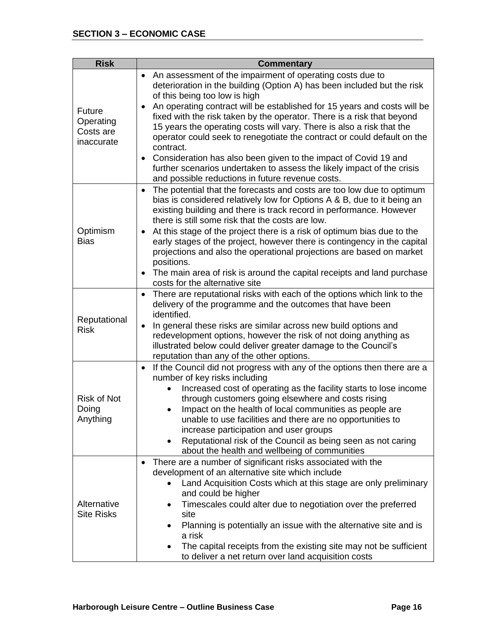| <b>Risk</b>                                           | <b>Commentary</b>                                                                                                                                                                                                                                                                                                                                                                                                                                                                                                                                                                                                                                                                                                                    |
|-------------------------------------------------------|--------------------------------------------------------------------------------------------------------------------------------------------------------------------------------------------------------------------------------------------------------------------------------------------------------------------------------------------------------------------------------------------------------------------------------------------------------------------------------------------------------------------------------------------------------------------------------------------------------------------------------------------------------------------------------------------------------------------------------------|
| <b>Future</b><br>Operating<br>Costs are<br>inaccurate | An assessment of the impairment of operating costs due to<br>$\bullet$<br>deterioration in the building (Option A) has been included but the risk<br>of this being too low is high<br>An operating contract will be established for 15 years and costs will be<br>$\bullet$<br>fixed with the risk taken by the operator. There is a risk that beyond<br>15 years the operating costs will vary. There is also a risk that the<br>operator could seek to renegotiate the contract or could default on the<br>contract.<br>Consideration has also been given to the impact of Covid 19 and<br>$\bullet$<br>further scenarios undertaken to assess the likely impact of the crisis<br>and possible reductions in future revenue costs. |
| Optimism<br><b>Bias</b>                               | The potential that the forecasts and costs are too low due to optimum<br>$\bullet$<br>bias is considered relatively low for Options A & B, due to it being an<br>existing building and there is track record in performance. However<br>there is still some risk that the costs are low.<br>At this stage of the project there is a risk of optimum bias due to the<br>٠<br>early stages of the project, however there is contingency in the capital<br>projections and also the operational projections are based on market<br>positions.<br>The main area of risk is around the capital receipts and land purchase<br>$\bullet$<br>costs for the alternative site                                                                  |
| Reputational<br><b>Risk</b>                           | There are reputational risks with each of the options which link to the<br>$\bullet$<br>delivery of the programme and the outcomes that have been<br>identified.<br>In general these risks are similar across new build options and<br>$\bullet$<br>redevelopment options, however the risk of not doing anything as<br>illustrated below could deliver greater damage to the Council's<br>reputation than any of the other options.                                                                                                                                                                                                                                                                                                 |
| <b>Risk of Not</b><br>Doing<br>Anything               | If the Council did not progress with any of the options then there are a<br>٠<br>number of key risks including<br>Increased cost of operating as the facility starts to lose income<br>$\bullet$<br>through customers going elsewhere and costs rising<br>Impact on the health of local communities as people are<br>٠<br>unable to use facilities and there are no opportunities to<br>increase participation and user groups<br>Reputational risk of the Council as being seen as not caring<br>about the health and wellbeing of communities                                                                                                                                                                                      |
| Alternative<br><b>Site Risks</b>                      | There are a number of significant risks associated with the<br>$\bullet$<br>development of an alternative site which include<br>Land Acquisition Costs which at this stage are only preliminary<br>and could be higher<br>Timescales could alter due to negotiation over the preferred<br>٠<br>site<br>Planning is potentially an issue with the alternative site and is<br>$\bullet$<br>a risk<br>The capital receipts from the existing site may not be sufficient<br>to deliver a net return over land acquisition costs                                                                                                                                                                                                          |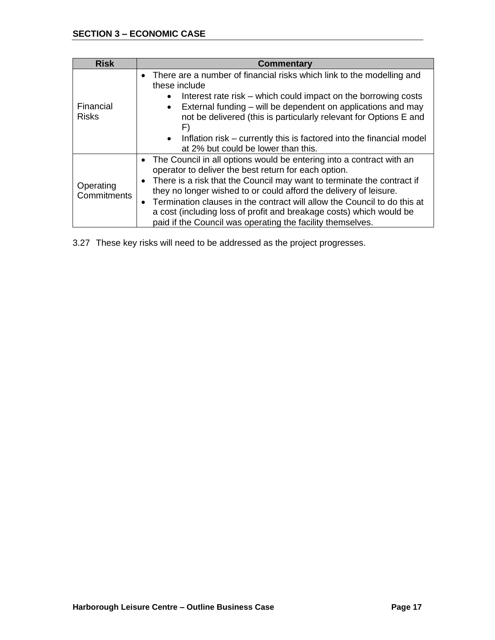| <b>Risk</b>               | <b>Commentary</b>                                                                                                                                                                                                                                                                                                                                                                                                                                                                                                      |
|---------------------------|------------------------------------------------------------------------------------------------------------------------------------------------------------------------------------------------------------------------------------------------------------------------------------------------------------------------------------------------------------------------------------------------------------------------------------------------------------------------------------------------------------------------|
| Financial<br><b>Risks</b> | There are a number of financial risks which link to the modelling and<br>$\bullet$<br>these include<br>Interest rate risk – which could impact on the borrowing costs<br>External funding – will be dependent on applications and may<br>$\bullet$<br>not be delivered (this is particularly relevant for Options E and<br>F)                                                                                                                                                                                          |
|                           | Inflation risk – currently this is factored into the financial model<br>$\bullet$<br>at 2% but could be lower than this.                                                                                                                                                                                                                                                                                                                                                                                               |
| Operating<br>Commitments  | The Council in all options would be entering into a contract with an<br>$\bullet$<br>operator to deliver the best return for each option.<br>There is a risk that the Council may want to terminate the contract if<br>$\bullet$<br>they no longer wished to or could afford the delivery of leisure.<br>Termination clauses in the contract will allow the Council to do this at<br>a cost (including loss of profit and breakage costs) which would be<br>paid if the Council was operating the facility themselves. |

3.27 These key risks will need to be addressed as the project progresses.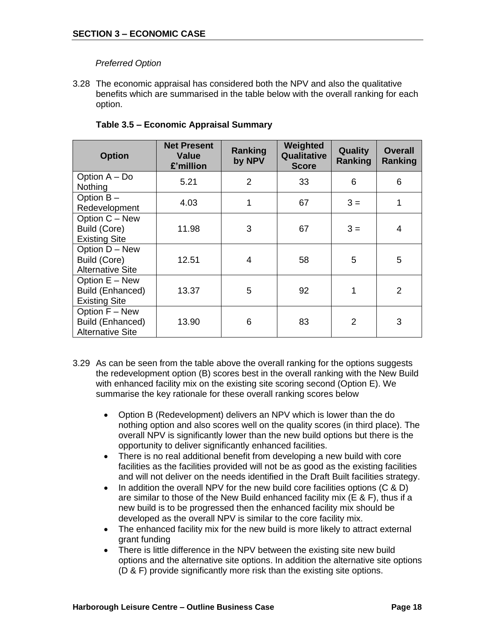#### *Preferred Option*

3.28 The economic appraisal has considered both the NPV and also the qualitative benefits which are summarised in the table below with the overall ranking for each option.

| <b>Option</b>                                                 | <b>Net Present</b><br><b>Value</b><br>£'million | Ranking<br>by NPV | Weighted<br>Qualitative<br><b>Score</b> | <b>Quality</b><br>Ranking | <b>Overall</b><br>Ranking |
|---------------------------------------------------------------|-------------------------------------------------|-------------------|-----------------------------------------|---------------------------|---------------------------|
| Option A - Do<br>Nothing                                      | 5.21                                            | 2                 | 33                                      | 6                         | 6                         |
| Option B-<br>Redevelopment                                    | 4.03                                            | 1                 | 67                                      | $3 =$                     | 1                         |
| Option C - New<br>Build (Core)<br><b>Existing Site</b>        | 11.98                                           | 3                 | 67                                      | $3 =$                     | 4                         |
| Option D - New<br>Build (Core)<br><b>Alternative Site</b>     | 12.51                                           | 4                 | 58                                      | 5                         | 5                         |
| Option E - New<br>Build (Enhanced)<br><b>Existing Site</b>    | 13.37                                           | 5                 | 92                                      | 1                         | 2                         |
| Option F - New<br>Build (Enhanced)<br><b>Alternative Site</b> | 13.90                                           | 6                 | 83                                      | 2                         | 3                         |

#### **Table 3.5 – Economic Appraisal Summary**

- 3.29 As can be seen from the table above the overall ranking for the options suggests the redevelopment option (B) scores best in the overall ranking with the New Build with enhanced facility mix on the existing site scoring second (Option E). We summarise the key rationale for these overall ranking scores below
	- Option B (Redevelopment) delivers an NPV which is lower than the do nothing option and also scores well on the quality scores (in third place). The overall NPV is significantly lower than the new build options but there is the opportunity to deliver significantly enhanced facilities.
	- There is no real additional benefit from developing a new build with core facilities as the facilities provided will not be as good as the existing facilities and will not deliver on the needs identified in the Draft Built facilities strategy.
	- In addition the overall NPV for the new build core facilities options (C & D) are similar to those of the New Build enhanced facility mix (E & F), thus if a new build is to be progressed then the enhanced facility mix should be developed as the overall NPV is similar to the core facility mix.
	- The enhanced facility mix for the new build is more likely to attract external grant funding
	- There is little difference in the NPV between the existing site new build options and the alternative site options. In addition the alternative site options (D & F) provide significantly more risk than the existing site options.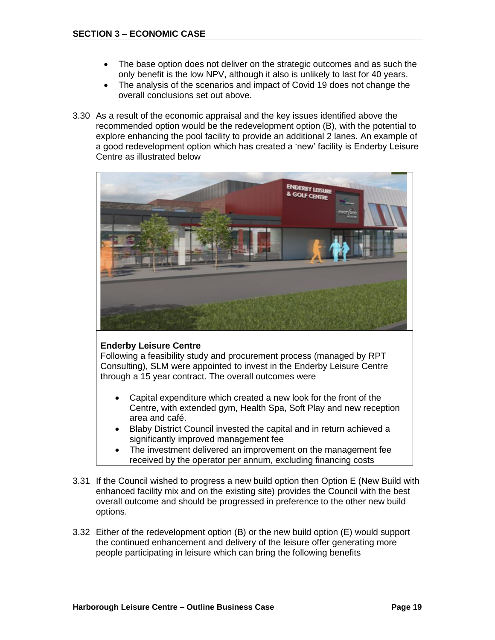- The base option does not deliver on the strategic outcomes and as such the only benefit is the low NPV, although it also is unlikely to last for 40 years.
- The analysis of the scenarios and impact of Covid 19 does not change the overall conclusions set out above.
- 3.30 As a result of the economic appraisal and the key issues identified above the recommended option would be the redevelopment option (B), with the potential to explore enhancing the pool facility to provide an additional 2 lanes. An example of a good redevelopment option which has created a 'new' facility is Enderby Leisure Centre as illustrated below



#### **Enderby Leisure Centre**

Following a feasibility study and procurement process (managed by RPT Consulting), SLM were appointed to invest in the Enderby Leisure Centre through a 15 year contract. The overall outcomes were

- Capital expenditure which created a new look for the front of the Centre, with extended gym, Health Spa, Soft Play and new reception area and café.
- Blaby District Council invested the capital and in return achieved a significantly improved management fee
- The investment delivered an improvement on the management fee received by the operator per annum, excluding financing costs
- 3.31 If the Council wished to progress a new build option then Option E (New Build with enhanced facility mix and on the existing site) provides the Council with the best overall outcome and should be progressed in preference to the other new build options.
- 3.32 Either of the redevelopment option (B) or the new build option (E) would support the continued enhancement and delivery of the leisure offer generating more people participating in leisure which can bring the following benefits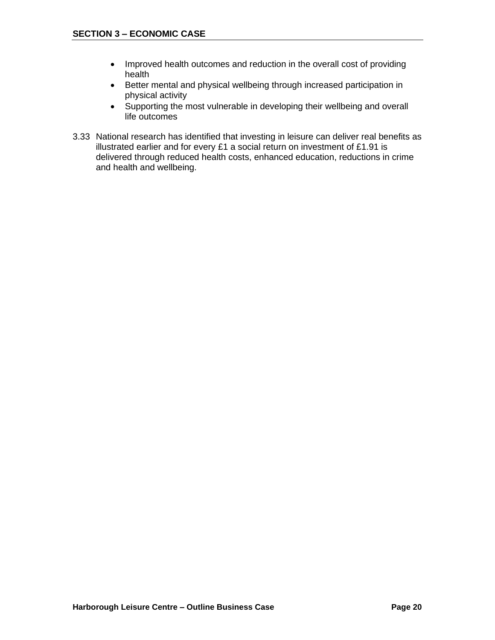- Improved health outcomes and reduction in the overall cost of providing health
- Better mental and physical wellbeing through increased participation in physical activity
- Supporting the most vulnerable in developing their wellbeing and overall life outcomes
- 3.33 National research has identified that investing in leisure can deliver real benefits as illustrated earlier and for every £1 a social return on investment of £1.91 is delivered through reduced health costs, enhanced education, reductions in crime and health and wellbeing.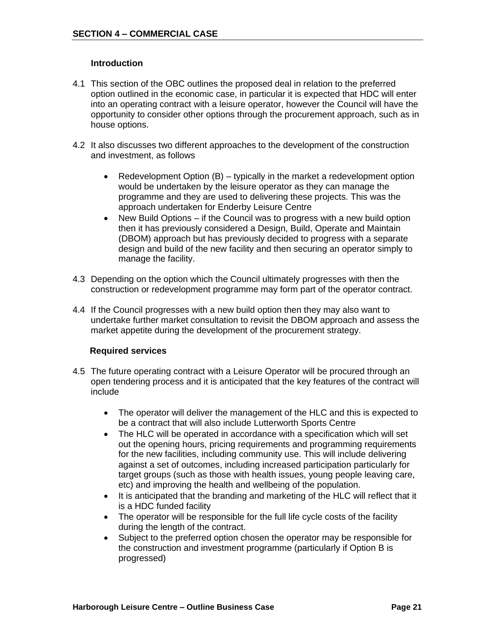#### **Introduction**

- 4.1 This section of the OBC outlines the proposed deal in relation to the preferred option outlined in the economic case, in particular it is expected that HDC will enter into an operating contract with a leisure operator, however the Council will have the opportunity to consider other options through the procurement approach, such as in house options.
- 4.2 It also discusses two different approaches to the development of the construction and investment, as follows
	- Redevelopment Option (B) typically in the market a redevelopment option would be undertaken by the leisure operator as they can manage the programme and they are used to delivering these projects. This was the approach undertaken for Enderby Leisure Centre
	- New Build Options if the Council was to progress with a new build option then it has previously considered a Design, Build, Operate and Maintain (DBOM) approach but has previously decided to progress with a separate design and build of the new facility and then securing an operator simply to manage the facility.
- 4.3 Depending on the option which the Council ultimately progresses with then the construction or redevelopment programme may form part of the operator contract.
- 4.4 If the Council progresses with a new build option then they may also want to undertake further market consultation to revisit the DBOM approach and assess the market appetite during the development of the procurement strategy.

#### **Required services**

- 4.5 The future operating contract with a Leisure Operator will be procured through an open tendering process and it is anticipated that the key features of the contract will include
	- The operator will deliver the management of the HLC and this is expected to be a contract that will also include Lutterworth Sports Centre
	- The HLC will be operated in accordance with a specification which will set out the opening hours, pricing requirements and programming requirements for the new facilities, including community use. This will include delivering against a set of outcomes, including increased participation particularly for target groups (such as those with health issues, young people leaving care, etc) and improving the health and wellbeing of the population.
	- It is anticipated that the branding and marketing of the HLC will reflect that it is a HDC funded facility
	- The operator will be responsible for the full life cycle costs of the facility during the length of the contract.
	- Subject to the preferred option chosen the operator may be responsible for the construction and investment programme (particularly if Option B is progressed)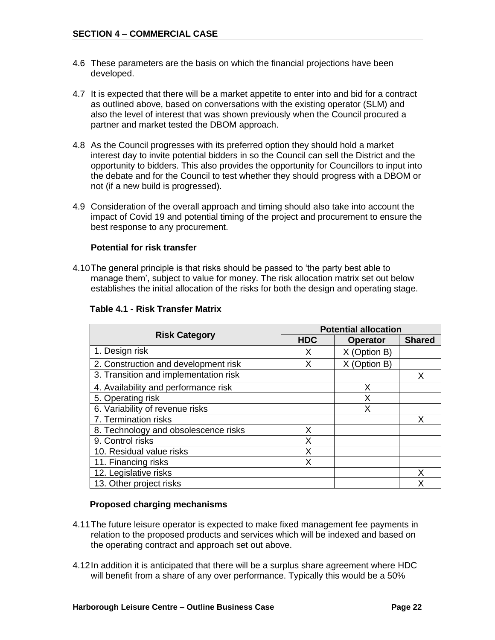- 4.6 These parameters are the basis on which the financial projections have been developed.
- 4.7 It is expected that there will be a market appetite to enter into and bid for a contract as outlined above, based on conversations with the existing operator (SLM) and also the level of interest that was shown previously when the Council procured a partner and market tested the DBOM approach.
- 4.8 As the Council progresses with its preferred option they should hold a market interest day to invite potential bidders in so the Council can sell the District and the opportunity to bidders. This also provides the opportunity for Councillors to input into the debate and for the Council to test whether they should progress with a DBOM or not (if a new build is progressed).
- 4.9 Consideration of the overall approach and timing should also take into account the impact of Covid 19 and potential timing of the project and procurement to ensure the best response to any procurement.

#### **Potential for risk transfer**

4.10The general principle is that risks should be passed to 'the party best able to manage them', subject to value for money. The risk allocation matrix set out below establishes the initial allocation of the risks for both the design and operating stage.

|                                       | <b>Potential allocation</b> |                 |               |  |
|---------------------------------------|-----------------------------|-----------------|---------------|--|
| <b>Risk Category</b>                  | <b>HDC</b>                  | <b>Operator</b> | <b>Shared</b> |  |
| 1. Design risk                        | X                           | X (Option B)    |               |  |
| 2. Construction and development risk  | X                           | X (Option B)    |               |  |
| 3. Transition and implementation risk |                             |                 | X             |  |
| 4. Availability and performance risk  |                             | Х               |               |  |
| 5. Operating risk                     |                             | x               |               |  |
| 6. Variability of revenue risks       |                             | Χ               |               |  |
| 7. Termination risks                  |                             |                 | х             |  |
| 8. Technology and obsolescence risks  | X                           |                 |               |  |
| 9. Control risks                      | Χ                           |                 |               |  |
| 10. Residual value risks              | X                           |                 |               |  |
| 11. Financing risks                   | Χ                           |                 |               |  |
| 12. Legislative risks                 |                             |                 | x             |  |
| 13. Other project risks               |                             |                 | χ             |  |

#### **Table 4.1 - Risk Transfer Matrix**

#### **Proposed charging mechanisms**

- 4.11The future leisure operator is expected to make fixed management fee payments in relation to the proposed products and services which will be indexed and based on the operating contract and approach set out above.
- 4.12In addition it is anticipated that there will be a surplus share agreement where HDC will benefit from a share of any over performance. Typically this would be a 50%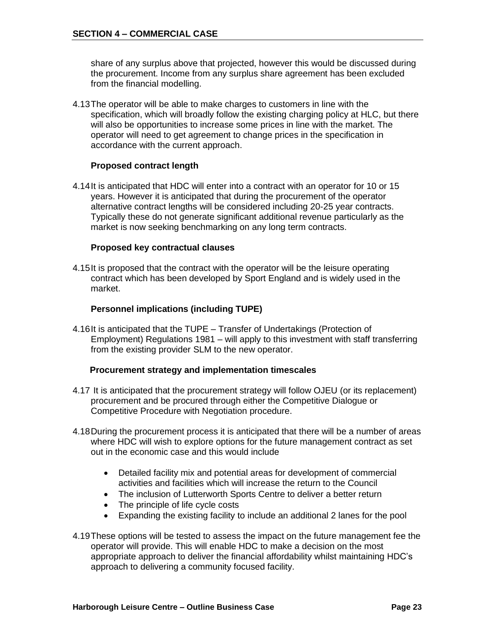share of any surplus above that projected, however this would be discussed during the procurement. Income from any surplus share agreement has been excluded from the financial modelling.

4.13The operator will be able to make charges to customers in line with the specification, which will broadly follow the existing charging policy at HLC, but there will also be opportunities to increase some prices in line with the market. The operator will need to get agreement to change prices in the specification in accordance with the current approach.

#### **Proposed contract length**

4.14It is anticipated that HDC will enter into a contract with an operator for 10 or 15 years. However it is anticipated that during the procurement of the operator alternative contract lengths will be considered including 20-25 year contracts. Typically these do not generate significant additional revenue particularly as the market is now seeking benchmarking on any long term contracts.

#### **Proposed key contractual clauses**

4.15It is proposed that the contract with the operator will be the leisure operating contract which has been developed by Sport England and is widely used in the market.

#### **Personnel implications (including TUPE)**

4.16It is anticipated that the TUPE – Transfer of Undertakings (Protection of Employment) Regulations 1981 – will apply to this investment with staff transferring from the existing provider SLM to the new operator.

#### **Procurement strategy and implementation timescales**

- 4.17 It is anticipated that the procurement strategy will follow OJEU (or its replacement) procurement and be procured through either the Competitive Dialogue or Competitive Procedure with Negotiation procedure.
- 4.18During the procurement process it is anticipated that there will be a number of areas where HDC will wish to explore options for the future management contract as set out in the economic case and this would include
	- Detailed facility mix and potential areas for development of commercial activities and facilities which will increase the return to the Council
	- The inclusion of Lutterworth Sports Centre to deliver a better return
	- The principle of life cycle costs
	- Expanding the existing facility to include an additional 2 lanes for the pool
- 4.19These options will be tested to assess the impact on the future management fee the operator will provide. This will enable HDC to make a decision on the most appropriate approach to deliver the financial affordability whilst maintaining HDC's approach to delivering a community focused facility.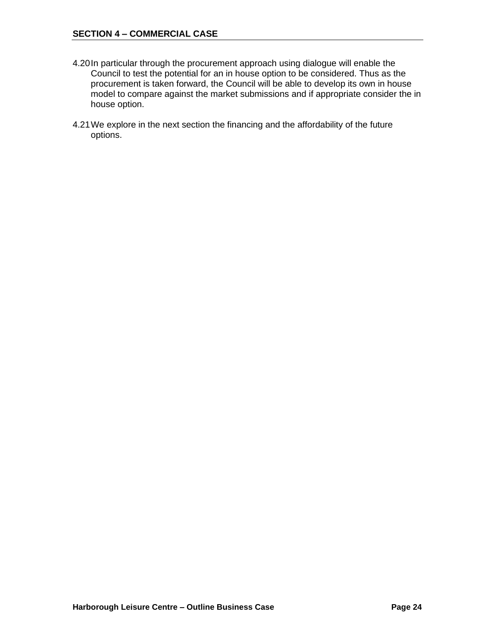#### **SECTION 4 – COMMERCIAL CASE**

- 4.20In particular through the procurement approach using dialogue will enable the Council to test the potential for an in house option to be considered. Thus as the procurement is taken forward, the Council will be able to develop its own in house model to compare against the market submissions and if appropriate consider the in house option.
- 4.21We explore in the next section the financing and the affordability of the future options.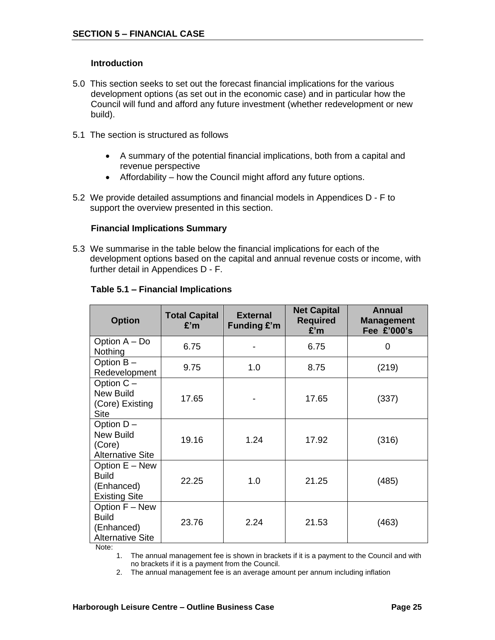#### **Introduction**

- 5.0 This section seeks to set out the forecast financial implications for the various development options (as set out in the economic case) and in particular how the Council will fund and afford any future investment (whether redevelopment or new build).
- 5.1 The section is structured as follows
	- A summary of the potential financial implications, both from a capital and revenue perspective
	- Affordability how the Council might afford any future options.
- 5.2 We provide detailed assumptions and financial models in Appendices D F to support the overview presented in this section.

#### **Financial Implications Summary**

5.3 We summarise in the table below the financial implications for each of the development options based on the capital and annual revenue costs or income, with further detail in Appendices D - F.

| <b>Option</b>                                                           | <b>Total Capital</b><br>E'm | <b>External</b><br><b>Funding £'m</b> | <b>Net Capital</b><br><b>Required</b><br>£'m | Annual<br><b>Management</b><br>Fee £'000's |
|-------------------------------------------------------------------------|-----------------------------|---------------------------------------|----------------------------------------------|--------------------------------------------|
| Option A - Do<br>Nothing                                                | 6.75                        |                                       | 6.75                                         | 0                                          |
| Option B-<br>Redevelopment                                              | 9.75                        | 1.0                                   | 8.75                                         | (219)                                      |
| Option C -<br><b>New Build</b><br>(Core) Existing<br><b>Site</b>        | 17.65                       |                                       | 17.65                                        | (337)                                      |
| Option D-<br><b>New Build</b><br>(Core)<br><b>Alternative Site</b>      | 19.16                       | 1.24                                  | 17.92                                        | (316)                                      |
| Option E - New<br><b>Build</b><br>(Enhanced)<br><b>Existing Site</b>    | 22.25                       | 1.0                                   | 21.25                                        | (485)                                      |
| Option F - New<br><b>Build</b><br>(Enhanced)<br><b>Alternative Site</b> | 23.76                       | 2.24                                  | 21.53                                        | (463)                                      |

#### **Table 5.1 – Financial Implications**

Note:

1. The annual management fee is shown in brackets if it is a payment to the Council and with no brackets if it is a payment from the Council.

2. The annual management fee is an average amount per annum including inflation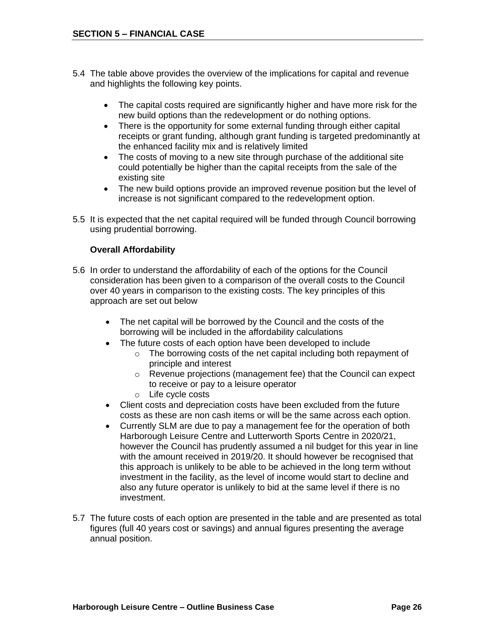- 5.4 The table above provides the overview of the implications for capital and revenue and highlights the following key points.
	- The capital costs required are significantly higher and have more risk for the new build options than the redevelopment or do nothing options.
	- There is the opportunity for some external funding through either capital receipts or grant funding, although grant funding is targeted predominantly at the enhanced facility mix and is relatively limited
	- The costs of moving to a new site through purchase of the additional site could potentially be higher than the capital receipts from the sale of the existing site
	- The new build options provide an improved revenue position but the level of increase is not significant compared to the redevelopment option.
- 5.5 It is expected that the net capital required will be funded through Council borrowing using prudential borrowing.

#### **Overall Affordability**

- 5.6 In order to understand the affordability of each of the options for the Council consideration has been given to a comparison of the overall costs to the Council over 40 years in comparison to the existing costs. The key principles of this approach are set out below
	- The net capital will be borrowed by the Council and the costs of the borrowing will be included in the affordability calculations
		- The future costs of each option have been developed to include
			- o The borrowing costs of the net capital including both repayment of principle and interest
			- o Revenue projections (management fee) that the Council can expect to receive or pay to a leisure operator
			- o Life cycle costs
	- Client costs and depreciation costs have been excluded from the future costs as these are non cash items or will be the same across each option.
	- Currently SLM are due to pay a management fee for the operation of both Harborough Leisure Centre and Lutterworth Sports Centre in 2020/21, however the Council has prudently assumed a nil budget for this year in line with the amount received in 2019/20. It should however be recognised that this approach is unlikely to be able to be achieved in the long term without investment in the facility, as the level of income would start to decline and also any future operator is unlikely to bid at the same level if there is no investment.
- 5.7 The future costs of each option are presented in the table and are presented as total figures (full 40 years cost or savings) and annual figures presenting the average annual position.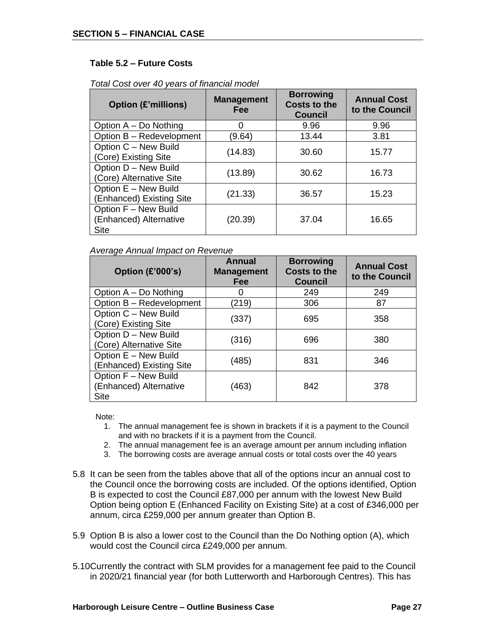#### **Table 5.2 – Future Costs**

| <b>Option (£'millions)</b>                                    | <b>Management</b><br>Fee | <b>Borrowing</b><br><b>Costs to the</b><br><b>Council</b> | <b>Annual Cost</b><br>to the Council |
|---------------------------------------------------------------|--------------------------|-----------------------------------------------------------|--------------------------------------|
| Option A – Do Nothing                                         | 0                        | 9.96                                                      | 9.96                                 |
| Option B - Redevelopment                                      | (9.64)                   | 13.44                                                     | 3.81                                 |
| Option C - New Build<br>(Core) Existing Site                  | (14.83)                  | 30.60                                                     | 15.77                                |
| Option D - New Build<br>(Core) Alternative Site               | (13.89)                  | 30.62                                                     | 16.73                                |
| Option E - New Build<br>(Enhanced) Existing Site              | (21.33)                  | 36.57                                                     | 15.23                                |
| Option F - New Build<br>(Enhanced) Alternative<br><b>Site</b> | (20.39)                  | 37.04                                                     | 16.65                                |

*Total Cost over 40 years of financial model*

#### *Average Annual Impact on Revenue*

| Option $(E'000's)$                                     | <b>Annual</b><br><b>Management</b><br>Fee | <b>Borrowing</b><br><b>Costs to the</b><br><b>Council</b> | <b>Annual Cost</b><br>to the Council |
|--------------------------------------------------------|-------------------------------------------|-----------------------------------------------------------|--------------------------------------|
| Option A – Do Nothing                                  | O                                         | 249                                                       | 249                                  |
| Option B - Redevelopment                               | (219)                                     | 306                                                       | 87                                   |
| Option C - New Build<br>(Core) Existing Site           | (337)                                     | 695                                                       | 358                                  |
| Option D - New Build<br>(Core) Alternative Site        | (316)                                     | 696                                                       | 380                                  |
| Option E - New Build<br>(Enhanced) Existing Site       | (485)                                     | 831                                                       | 346                                  |
| Option F - New Build<br>(Enhanced) Alternative<br>Site | (463)                                     | 842                                                       | 378                                  |

Note:

- 1. The annual management fee is shown in brackets if it is a payment to the Council and with no brackets if it is a payment from the Council.
- 2. The annual management fee is an average amount per annum including inflation
- 3. The borrowing costs are average annual costs or total costs over the 40 years
- 5.8 It can be seen from the tables above that all of the options incur an annual cost to the Council once the borrowing costs are included. Of the options identified, Option B is expected to cost the Council £87,000 per annum with the lowest New Build Option being option E (Enhanced Facility on Existing Site) at a cost of £346,000 per annum, circa £259,000 per annum greater than Option B.
- 5.9 Option B is also a lower cost to the Council than the Do Nothing option (A), which would cost the Council circa £249,000 per annum.
- 5.10Currently the contract with SLM provides for a management fee paid to the Council in 2020/21 financial year (for both Lutterworth and Harborough Centres). This has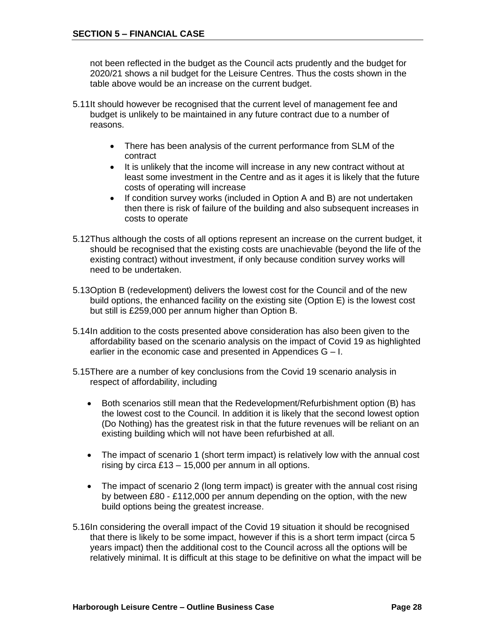not been reflected in the budget as the Council acts prudently and the budget for 2020/21 shows a nil budget for the Leisure Centres. Thus the costs shown in the table above would be an increase on the current budget.

- 5.11It should however be recognised that the current level of management fee and budget is unlikely to be maintained in any future contract due to a number of reasons.
	- There has been analysis of the current performance from SLM of the contract
	- It is unlikely that the income will increase in any new contract without at least some investment in the Centre and as it ages it is likely that the future costs of operating will increase
	- If condition survey works (included in Option A and B) are not undertaken then there is risk of failure of the building and also subsequent increases in costs to operate
- 5.12Thus although the costs of all options represent an increase on the current budget, it should be recognised that the existing costs are unachievable (beyond the life of the existing contract) without investment, if only because condition survey works will need to be undertaken.
- 5.13Option B (redevelopment) delivers the lowest cost for the Council and of the new build options, the enhanced facility on the existing site (Option E) is the lowest cost but still is £259,000 per annum higher than Option B.
- 5.14In addition to the costs presented above consideration has also been given to the affordability based on the scenario analysis on the impact of Covid 19 as highlighted earlier in the economic case and presented in Appendices G – I.
- 5.15There are a number of key conclusions from the Covid 19 scenario analysis in respect of affordability, including
	- Both scenarios still mean that the Redevelopment/Refurbishment option (B) has the lowest cost to the Council. In addition it is likely that the second lowest option (Do Nothing) has the greatest risk in that the future revenues will be reliant on an existing building which will not have been refurbished at all.
	- The impact of scenario 1 (short term impact) is relatively low with the annual cost rising by circa  $£13 - 15,000$  per annum in all options.
	- The impact of scenario 2 (long term impact) is greater with the annual cost rising by between £80 - £112,000 per annum depending on the option, with the new build options being the greatest increase.
- 5.16In considering the overall impact of the Covid 19 situation it should be recognised that there is likely to be some impact, however if this is a short term impact (circa 5 years impact) then the additional cost to the Council across all the options will be relatively minimal. It is difficult at this stage to be definitive on what the impact will be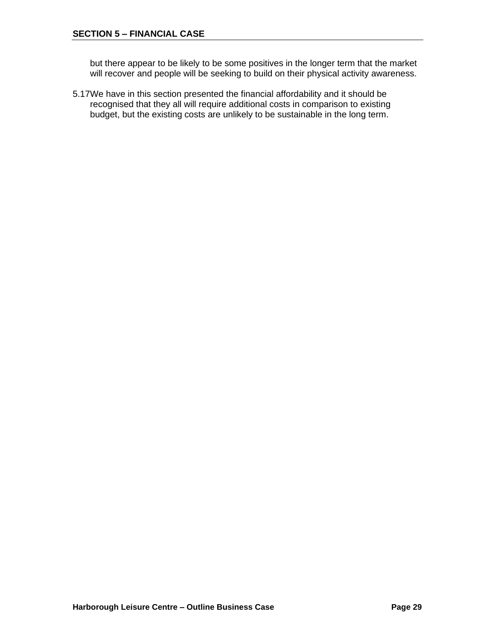but there appear to be likely to be some positives in the longer term that the market will recover and people will be seeking to build on their physical activity awareness.

5.17We have in this section presented the financial affordability and it should be recognised that they all will require additional costs in comparison to existing budget, but the existing costs are unlikely to be sustainable in the long term.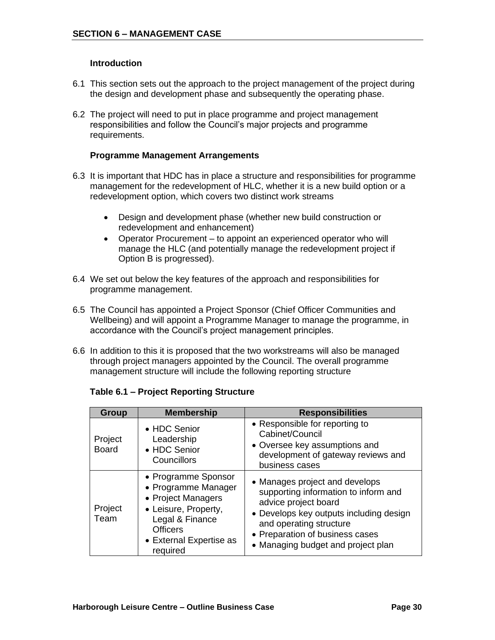#### **Introduction**

- 6.1 This section sets out the approach to the project management of the project during the design and development phase and subsequently the operating phase.
- 6.2 The project will need to put in place programme and project management responsibilities and follow the Council's major projects and programme requirements.

#### **Programme Management Arrangements**

- 6.3 It is important that HDC has in place a structure and responsibilities for programme management for the redevelopment of HLC, whether it is a new build option or a redevelopment option, which covers two distinct work streams
	- Design and development phase (whether new build construction or redevelopment and enhancement)
	- Operator Procurement to appoint an experienced operator who will manage the HLC (and potentially manage the redevelopment project if Option B is progressed).
- 6.4 We set out below the key features of the approach and responsibilities for programme management.
- 6.5 The Council has appointed a Project Sponsor (Chief Officer Communities and Wellbeing) and will appoint a Programme Manager to manage the programme, in accordance with the Council's project management principles.
- 6.6 In addition to this it is proposed that the two workstreams will also be managed through project managers appointed by the Council. The overall programme management structure will include the following reporting structure

| Group                   | <b>Membership</b>                                                                                                                                                     | <b>Responsibilities</b>                                                                                                                                                                                                                       |
|-------------------------|-----------------------------------------------------------------------------------------------------------------------------------------------------------------------|-----------------------------------------------------------------------------------------------------------------------------------------------------------------------------------------------------------------------------------------------|
| Project<br><b>Board</b> | • HDC Senior<br>Leadership<br>• HDC Senior<br>Councillors                                                                                                             | • Responsible for reporting to<br>Cabinet/Council<br>• Oversee key assumptions and<br>development of gateway reviews and<br>business cases                                                                                                    |
| Project<br>Team         | • Programme Sponsor<br>• Programme Manager<br>• Project Managers<br>• Leisure, Property,<br>Legal & Finance<br><b>Officers</b><br>• External Expertise as<br>required | • Manages project and develops<br>supporting information to inform and<br>advice project board<br>• Develops key outputs including design<br>and operating structure<br>• Preparation of business cases<br>• Managing budget and project plan |

#### **Table 6.1 – Project Reporting Structure**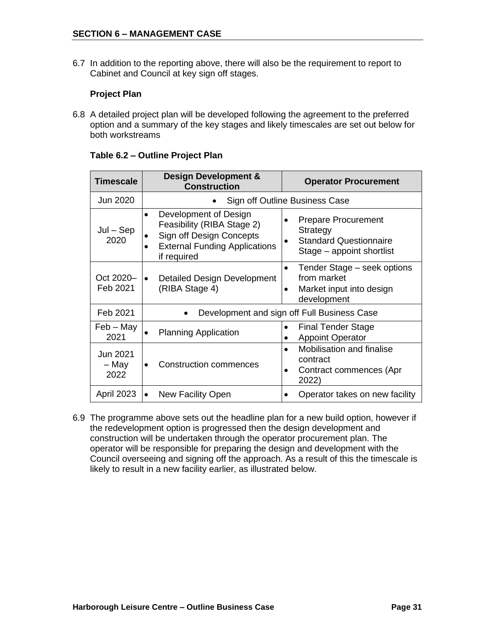6.7 In addition to the reporting above, there will also be the requirement to report to Cabinet and Council at key sign off stages.

#### **Project Plan**

6.8 A detailed project plan will be developed following the agreement to the preferred option and a summary of the key stages and likely timescales are set out below for both workstreams

| <b>Timescale</b>                 | <b>Design Development &amp;</b><br><b>Construction</b>                                                                                              | <b>Operator Procurement</b>                                                                          |  |
|----------------------------------|-----------------------------------------------------------------------------------------------------------------------------------------------------|------------------------------------------------------------------------------------------------------|--|
| Jun 2020                         | Sign off Outline Business Case                                                                                                                      |                                                                                                      |  |
| $Jul - Sep$<br>2020              | Development of Design<br>$\bullet$<br>Feasibility (RIBA Stage 2)<br>Sign off Design Concepts<br><b>External Funding Applications</b><br>if required | <b>Prepare Procurement</b><br>Strategy<br><b>Standard Questionnaire</b><br>Stage - appoint shortlist |  |
| Oct 2020-<br>Feb 2021            | <b>Detailed Design Development</b><br>(RIBA Stage 4)                                                                                                | Tender Stage – seek options<br>$\bullet$<br>from market<br>Market input into design<br>development   |  |
| Feb 2021                         |                                                                                                                                                     | Development and sign off Full Business Case                                                          |  |
| $Feb - May$<br>2021              | <b>Planning Application</b>                                                                                                                         | <b>Final Tender Stage</b><br><b>Appoint Operator</b>                                                 |  |
| <b>Jun 2021</b><br>– May<br>2022 | <b>Construction commences</b>                                                                                                                       | Mobilisation and finalise<br>contract<br>Contract commences (Apr<br>2022)                            |  |
| <b>April 2023</b>                | New Facility Open                                                                                                                                   | Operator takes on new facility                                                                       |  |

#### **Table 6.2 – Outline Project Plan**

6.9 The programme above sets out the headline plan for a new build option, however if the redevelopment option is progressed then the design development and construction will be undertaken through the operator procurement plan. The operator will be responsible for preparing the design and development with the Council overseeing and signing off the approach. As a result of this the timescale is likely to result in a new facility earlier, as illustrated below.